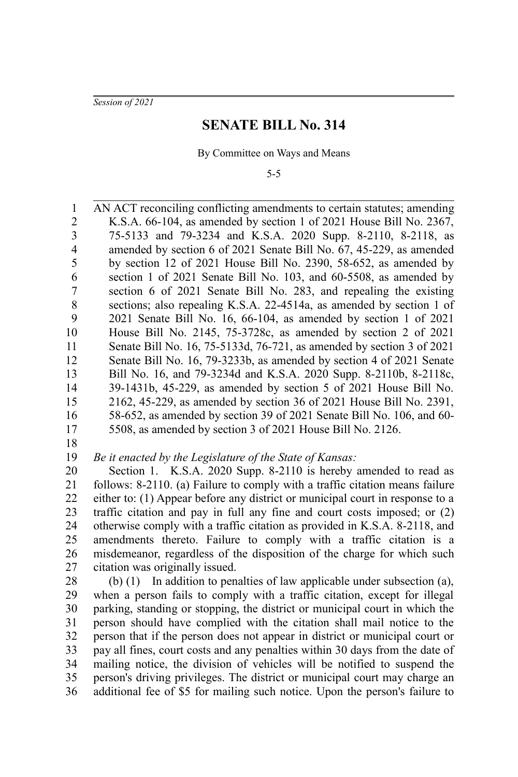*Session of 2021*

## **SENATE BILL No. 314**

By Committee on Ways and Means

5-5

AN ACT reconciling conflicting amendments to certain statutes; amending K.S.A. 66-104, as amended by section 1 of 2021 House Bill No. 2367, 75-5133 and 79-3234 and K.S.A. 2020 Supp. 8-2110, 8-2118, as amended by section 6 of 2021 Senate Bill No. 67, 45-229, as amended by section 12 of 2021 House Bill No. 2390, 58-652, as amended by section 1 of 2021 Senate Bill No. 103, and 60-5508, as amended by section 6 of 2021 Senate Bill No. 283, and repealing the existing sections; also repealing K.S.A. 22-4514a, as amended by section 1 of 2021 Senate Bill No. 16, 66-104, as amended by section 1 of 2021 House Bill No. 2145, 75-3728c, as amended by section 2 of 2021 Senate Bill No. 16, 75-5133d, 76-721, as amended by section 3 of 2021 Senate Bill No. 16, 79-3233b, as amended by section 4 of 2021 Senate Bill No. 16, and 79-3234d and K.S.A. 2020 Supp. 8-2110b, 8-2118c, 39-1431b, 45-229, as amended by section 5 of 2021 House Bill No. 2162, 45-229, as amended by section 36 of 2021 House Bill No. 2391, 58-652, as amended by section 39 of 2021 Senate Bill No. 106, and 60- 5508, as amended by section 3 of 2021 House Bill No. 2126. 1 2 3 4 5 6 7 8 9 10 11 12 13 14 15 16 17

18

*Be it enacted by the Legislature of the State of Kansas:* 19

Section 1. K.S.A. 2020 Supp. 8-2110 is hereby amended to read as follows: 8-2110. (a) Failure to comply with a traffic citation means failure either to: (1) Appear before any district or municipal court in response to a traffic citation and pay in full any fine and court costs imposed; or (2) otherwise comply with a traffic citation as provided in K.S.A. 8-2118, and amendments thereto. Failure to comply with a traffic citation is a misdemeanor, regardless of the disposition of the charge for which such citation was originally issued. 20 21 22 23 24 25 26 27

(b) (1) In addition to penalties of law applicable under subsection (a), when a person fails to comply with a traffic citation, except for illegal parking, standing or stopping, the district or municipal court in which the person should have complied with the citation shall mail notice to the person that if the person does not appear in district or municipal court or pay all fines, court costs and any penalties within 30 days from the date of mailing notice, the division of vehicles will be notified to suspend the person's driving privileges. The district or municipal court may charge an additional fee of \$5 for mailing such notice. Upon the person's failure to 28 29 30 31 32 33 34 35 36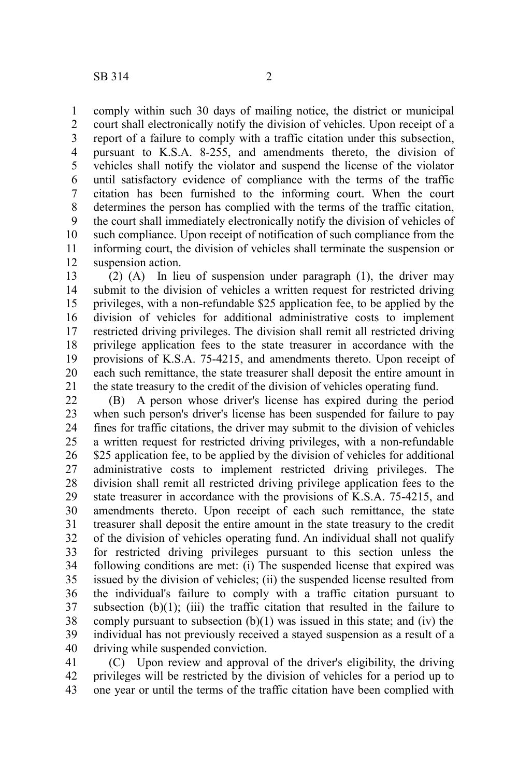comply within such 30 days of mailing notice, the district or municipal court shall electronically notify the division of vehicles. Upon receipt of a report of a failure to comply with a traffic citation under this subsection, pursuant to K.S.A. 8-255, and amendments thereto, the division of vehicles shall notify the violator and suspend the license of the violator until satisfactory evidence of compliance with the terms of the traffic citation has been furnished to the informing court. When the court determines the person has complied with the terms of the traffic citation, the court shall immediately electronically notify the division of vehicles of such compliance. Upon receipt of notification of such compliance from the informing court, the division of vehicles shall terminate the suspension or suspension action. 1 2 3 4 5 6 7 8 9 10 11 12

(2) (A) In lieu of suspension under paragraph (1), the driver may submit to the division of vehicles a written request for restricted driving privileges, with a non-refundable \$25 application fee, to be applied by the division of vehicles for additional administrative costs to implement restricted driving privileges. The division shall remit all restricted driving privilege application fees to the state treasurer in accordance with the provisions of K.S.A. 75-4215, and amendments thereto. Upon receipt of each such remittance, the state treasurer shall deposit the entire amount in the state treasury to the credit of the division of vehicles operating fund. 13 14 15 16 17 18 19 20 21

(B) A person whose driver's license has expired during the period when such person's driver's license has been suspended for failure to pay fines for traffic citations, the driver may submit to the division of vehicles a written request for restricted driving privileges, with a non-refundable \$25 application fee, to be applied by the division of vehicles for additional administrative costs to implement restricted driving privileges. The division shall remit all restricted driving privilege application fees to the state treasurer in accordance with the provisions of K.S.A. 75-4215, and amendments thereto. Upon receipt of each such remittance, the state treasurer shall deposit the entire amount in the state treasury to the credit of the division of vehicles operating fund. An individual shall not qualify for restricted driving privileges pursuant to this section unless the following conditions are met: (i) The suspended license that expired was issued by the division of vehicles; (ii) the suspended license resulted from the individual's failure to comply with a traffic citation pursuant to subsection  $(b)(1)$ ; (iii) the traffic citation that resulted in the failure to comply pursuant to subsection  $(b)(1)$  was issued in this state; and (iv) the individual has not previously received a stayed suspension as a result of a driving while suspended conviction. 22 23 24 25 26 27 28 29 30 31 32 33 34 35 36 37 38 39 40

(C) Upon review and approval of the driver's eligibility, the driving privileges will be restricted by the division of vehicles for a period up to one year or until the terms of the traffic citation have been complied with 41 42 43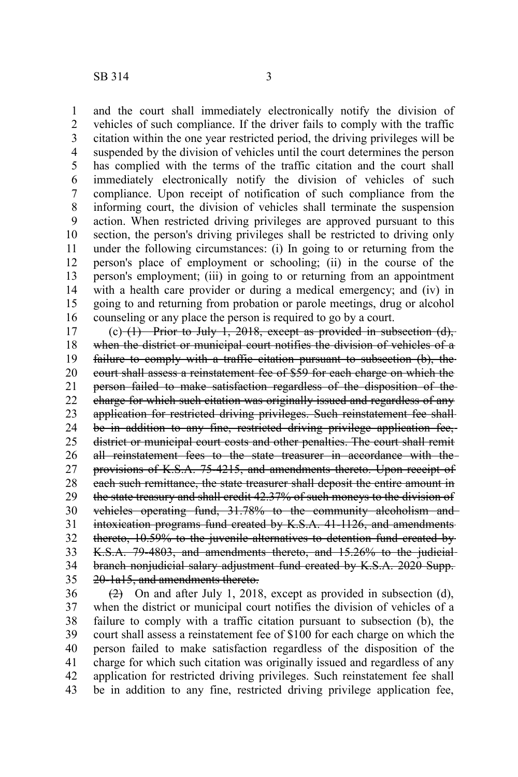and the court shall immediately electronically notify the division of vehicles of such compliance. If the driver fails to comply with the traffic citation within the one year restricted period, the driving privileges will be suspended by the division of vehicles until the court determines the person has complied with the terms of the traffic citation and the court shall immediately electronically notify the division of vehicles of such compliance. Upon receipt of notification of such compliance from the informing court, the division of vehicles shall terminate the suspension action. When restricted driving privileges are approved pursuant to this section, the person's driving privileges shall be restricted to driving only

under the following circumstances: (i) In going to or returning from the person's place of employment or schooling; (ii) in the course of the person's employment; (iii) in going to or returning from an appointment with a health care provider or during a medical emergency; and (iv) in going to and returning from probation or parole meetings, drug or alcohol counseling or any place the person is required to go by a court. 11 12 13 14 15 16

 $(c)$  (1) Prior to July 1, 2018, except as provided in subsection (d), when the district or municipal court notifies the division of vehicles of a failure to comply with a traffic citation pursuant to subsection (b), the court shall assess a reinstatement fee of \$59 for each charge on which the person failed to make satisfaction regardless of the disposition of the charge for which such citation was originally issued and regardless of any application for restricted driving privileges. Such reinstatement fee shall be in addition to any fine, restricted driving privilege application fee,district or municipal court costs and other penalties. The court shall remit all reinstatement fees to the state treasurer in accordance with the provisions of K.S.A. 75-4215, and amendments thereto. Upon receipt of each such remittance, the state treasurer shall deposit the entire amount in the state treasury and shall credit 42.37% of such moneys to the division of vehicles operating fund, 31.78% to the community alcoholism and intoxication programs fund created by K.S.A. 41-1126, and amendments thereto, 10.59% to the juvenile alternatives to detention fund created by K.S.A. 79-4803, and amendments thereto, and 15.26% to the judicial branch nonjudicial salary adjustment fund created by K.S.A. 2020 Supp. 20-1a15, and amendments thereto. 17 18 19 20 21 22 23 24 25 26 27 28 29 30 31 32 33 34 35

 $(2)$  On and after July 1, 2018, except as provided in subsection (d), when the district or municipal court notifies the division of vehicles of a failure to comply with a traffic citation pursuant to subsection (b), the court shall assess a reinstatement fee of \$100 for each charge on which the person failed to make satisfaction regardless of the disposition of the charge for which such citation was originally issued and regardless of any application for restricted driving privileges. Such reinstatement fee shall be in addition to any fine, restricted driving privilege application fee, 36 37 38 39 40 41 42 43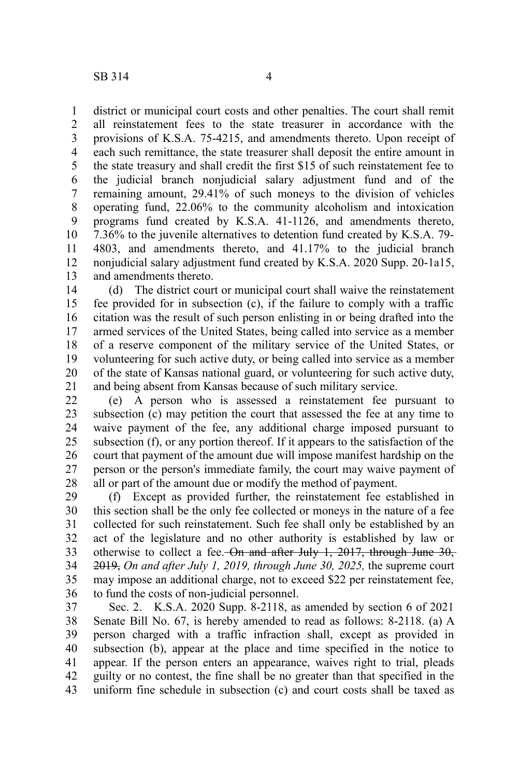district or municipal court costs and other penalties. The court shall remit all reinstatement fees to the state treasurer in accordance with the provisions of K.S.A. 75-4215, and amendments thereto. Upon receipt of each such remittance, the state treasurer shall deposit the entire amount in the state treasury and shall credit the first \$15 of such reinstatement fee to the judicial branch nonjudicial salary adjustment fund and of the remaining amount, 29.41% of such moneys to the division of vehicles operating fund, 22.06% to the community alcoholism and intoxication programs fund created by K.S.A. 41-1126, and amendments thereto, 7.36% to the juvenile alternatives to detention fund created by K.S.A. 79- 4803, and amendments thereto, and 41.17% to the judicial branch nonjudicial salary adjustment fund created by K.S.A. 2020 Supp. 20-1a15, and amendments thereto. 1 2 3 4 5 6 7 8 9 10 11 12 13

(d) The district court or municipal court shall waive the reinstatement fee provided for in subsection (c), if the failure to comply with a traffic citation was the result of such person enlisting in or being drafted into the armed services of the United States, being called into service as a member of a reserve component of the military service of the United States, or volunteering for such active duty, or being called into service as a member of the state of Kansas national guard, or volunteering for such active duty, and being absent from Kansas because of such military service. 14 15 16 17 18 19 20 21

(e) A person who is assessed a reinstatement fee pursuant to subsection (c) may petition the court that assessed the fee at any time to waive payment of the fee, any additional charge imposed pursuant to subsection (f), or any portion thereof. If it appears to the satisfaction of the court that payment of the amount due will impose manifest hardship on the person or the person's immediate family, the court may waive payment of all or part of the amount due or modify the method of payment. 22 23 24 25 26 27 28

(f) Except as provided further, the reinstatement fee established in this section shall be the only fee collected or moneys in the nature of a fee collected for such reinstatement. Such fee shall only be established by an act of the legislature and no other authority is established by law or otherwise to collect a fee. On and after July 1, 2017, through June 30, 2019, *On and after July 1, 2019, through June 30, 2025,* the supreme court may impose an additional charge, not to exceed \$22 per reinstatement fee, to fund the costs of non-judicial personnel. 29 30 31 32 33 34 35 36

Sec. 2. K.S.A. 2020 Supp. 8-2118, as amended by section 6 of 2021 Senate Bill No. 67, is hereby amended to read as follows: 8-2118. (a) A person charged with a traffic infraction shall, except as provided in subsection (b), appear at the place and time specified in the notice to appear. If the person enters an appearance, waives right to trial, pleads guilty or no contest, the fine shall be no greater than that specified in the uniform fine schedule in subsection (c) and court costs shall be taxed as 37 38 39 40 41 42 43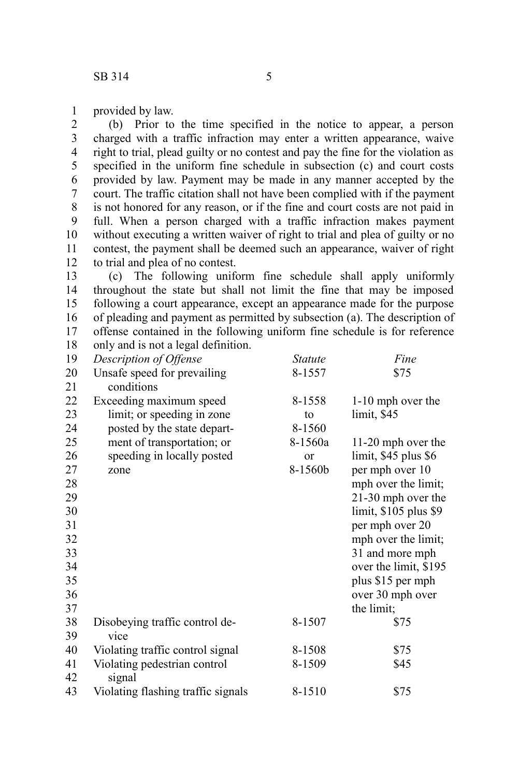provided by law. 1

(b) Prior to the time specified in the notice to appear, a person charged with a traffic infraction may enter a written appearance, waive right to trial, plead guilty or no contest and pay the fine for the violation as specified in the uniform fine schedule in subsection (c) and court costs provided by law. Payment may be made in any manner accepted by the court. The traffic citation shall not have been complied with if the payment is not honored for any reason, or if the fine and court costs are not paid in full. When a person charged with a traffic infraction makes payment without executing a written waiver of right to trial and plea of guilty or no contest, the payment shall be deemed such an appearance, waiver of right to trial and plea of no contest. 2 3 4 5 6 7 8 9 10 11 12

(c) The following uniform fine schedule shall apply uniformly throughout the state but shall not limit the fine that may be imposed following a court appearance, except an appearance made for the purpose of pleading and payment as permitted by subsection (a). The description of offense contained in the following uniform fine schedule is for reference only and is not a legal definition. 13 14 15 16 17 18

| 19 | Description of Offense             | <i>Statute</i> | Fine                   |
|----|------------------------------------|----------------|------------------------|
| 20 | Unsafe speed for prevailing        | 8-1557         | \$75                   |
| 21 | conditions                         |                |                        |
| 22 | Exceeding maximum speed            | 8-1558         | 1-10 mph over the      |
| 23 | limit; or speeding in zone         | to             | limit, \$45            |
| 24 | posted by the state depart-        | 8-1560         |                        |
| 25 | ment of transportation; or         | 8-1560a        | 11-20 mph over the     |
| 26 | speeding in locally posted         | or             | $limit, $45$ plus $$6$ |
| 27 | zone                               | 8-1560b        | per mph over 10        |
| 28 |                                    |                | mph over the limit;    |
| 29 |                                    |                | 21-30 mph over the     |
| 30 |                                    |                | limit, \$105 plus \$9  |
| 31 |                                    |                | per mph over 20        |
| 32 |                                    |                | mph over the limit;    |
| 33 |                                    |                | 31 and more mph        |
| 34 |                                    |                | over the limit, \$195  |
| 35 |                                    |                | plus \$15 per mph      |
| 36 |                                    |                | over 30 mph over       |
| 37 |                                    |                | the limit;             |
| 38 | Disobeying traffic control de-     | 8-1507         | \$75                   |
| 39 | vice                               |                |                        |
| 40 | Violating traffic control signal   | 8-1508         | \$75                   |
| 41 | Violating pedestrian control       | 8-1509         | \$45                   |
| 42 | signal                             |                |                        |
| 43 | Violating flashing traffic signals | 8-1510         | \$75                   |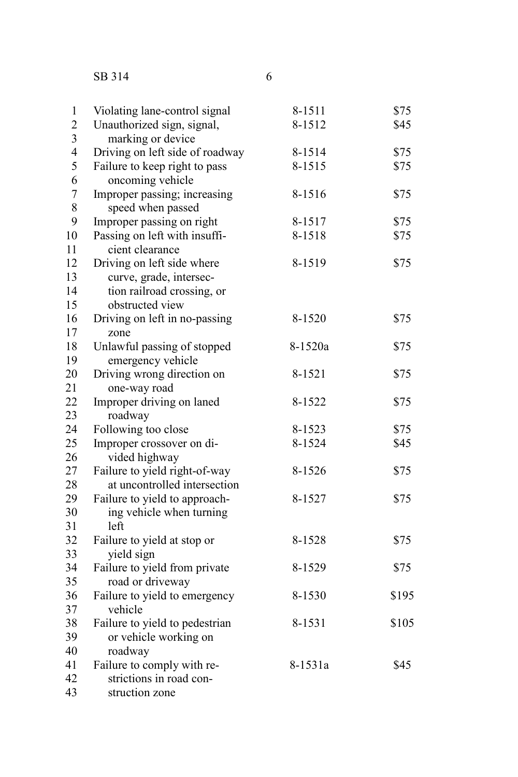## SB 314

| $\,1$                   | Violating lane-control signal            | 8-1511  | \$75  |
|-------------------------|------------------------------------------|---------|-------|
| $\overline{c}$          | Unauthorized sign, signal,               | 8-1512  | \$45  |
| 3                       | marking or device                        |         |       |
| $\overline{\mathbf{4}}$ | Driving on left side of roadway          | 8-1514  | \$75  |
| 5                       | Failure to keep right to pass            | 8-1515  | \$75  |
| 6                       | oncoming vehicle                         |         |       |
| $\overline{7}$          | Improper passing; increasing             | 8-1516  | \$75  |
| 8                       | speed when passed                        |         |       |
| 9                       | Improper passing on right                | 8-1517  | \$75  |
| 10                      | Passing on left with insuffi-            | 8-1518  | \$75  |
| 11                      | cient clearance                          |         |       |
| 12                      | Driving on left side where               | 8-1519  | \$75  |
| 13                      | curve, grade, intersec-                  |         |       |
| 14                      | tion railroad crossing, or               |         |       |
| 15                      | obstructed view                          |         |       |
| 16                      | Driving on left in no-passing            | 8-1520  | \$75  |
| 17                      | zone                                     |         |       |
| 18                      | Unlawful passing of stopped              | 8-1520a | \$75  |
| 19                      | emergency vehicle                        |         |       |
| 20                      | Driving wrong direction on               | 8-1521  | \$75  |
| 21                      | one-way road                             |         |       |
| $\overline{22}$         | Improper driving on laned                | 8-1522  | \$75  |
| 23                      | roadway                                  |         |       |
| 24                      | Following too close                      | 8-1523  | \$75  |
| 25                      | Improper crossover on di-                | 8-1524  | \$45  |
| 26                      | vided highway                            |         |       |
| 27                      | Failure to yield right-of-way            | 8-1526  | \$75  |
| 28                      | at uncontrolled intersection             |         |       |
| 29                      | Failure to yield to approach-            | 8-1527  | \$75  |
| 30                      | ing vehicle when turning                 |         |       |
| 31                      | left                                     |         |       |
| 32                      | Failure to yield at stop or              | 8-1528  | \$75  |
| 33                      | yield sign                               |         |       |
| 34<br>35                | Failure to yield from private            | 8-1529  | \$75  |
| 36                      | road or driveway                         |         | \$195 |
| 37                      | Failure to yield to emergency<br>vehicle | 8-1530  |       |
| 38                      | Failure to yield to pedestrian           | 8-1531  | \$105 |
| 39                      | or vehicle working on                    |         |       |
| 40                      | roadway                                  |         |       |
| 41                      | Failure to comply with re-               | 8-1531a | \$45  |
| 42                      | strictions in road con-                  |         |       |
| 43                      | struction zone                           |         |       |
|                         |                                          |         |       |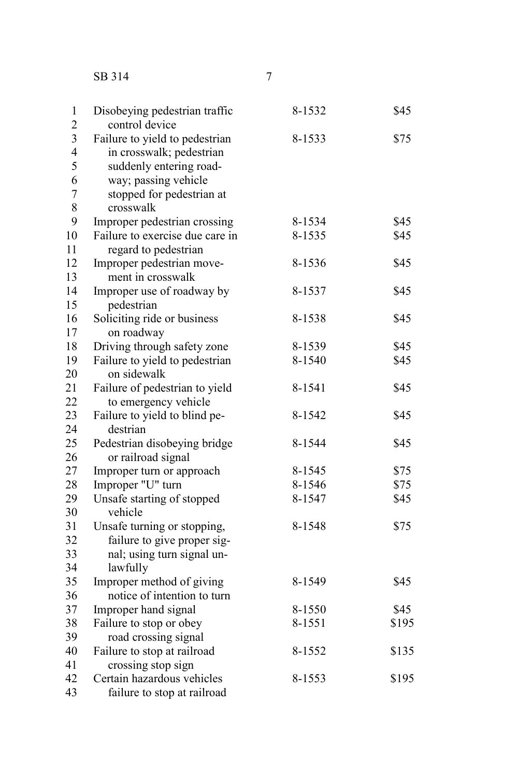SB 314

| Disobeying pedestrian traffic  | 8-1532                                                                                                                                                                                                                                                                                                                                                                                                                                                                                                                                                                                                                                                                                                                                                                                                                                                                                                                                | \$45                                                                                                                                                         |
|--------------------------------|---------------------------------------------------------------------------------------------------------------------------------------------------------------------------------------------------------------------------------------------------------------------------------------------------------------------------------------------------------------------------------------------------------------------------------------------------------------------------------------------------------------------------------------------------------------------------------------------------------------------------------------------------------------------------------------------------------------------------------------------------------------------------------------------------------------------------------------------------------------------------------------------------------------------------------------|--------------------------------------------------------------------------------------------------------------------------------------------------------------|
|                                |                                                                                                                                                                                                                                                                                                                                                                                                                                                                                                                                                                                                                                                                                                                                                                                                                                                                                                                                       | \$75                                                                                                                                                         |
|                                |                                                                                                                                                                                                                                                                                                                                                                                                                                                                                                                                                                                                                                                                                                                                                                                                                                                                                                                                       |                                                                                                                                                              |
|                                |                                                                                                                                                                                                                                                                                                                                                                                                                                                                                                                                                                                                                                                                                                                                                                                                                                                                                                                                       |                                                                                                                                                              |
|                                |                                                                                                                                                                                                                                                                                                                                                                                                                                                                                                                                                                                                                                                                                                                                                                                                                                                                                                                                       |                                                                                                                                                              |
|                                |                                                                                                                                                                                                                                                                                                                                                                                                                                                                                                                                                                                                                                                                                                                                                                                                                                                                                                                                       |                                                                                                                                                              |
|                                |                                                                                                                                                                                                                                                                                                                                                                                                                                                                                                                                                                                                                                                                                                                                                                                                                                                                                                                                       |                                                                                                                                                              |
|                                |                                                                                                                                                                                                                                                                                                                                                                                                                                                                                                                                                                                                                                                                                                                                                                                                                                                                                                                                       | \$45                                                                                                                                                         |
|                                |                                                                                                                                                                                                                                                                                                                                                                                                                                                                                                                                                                                                                                                                                                                                                                                                                                                                                                                                       | \$45                                                                                                                                                         |
|                                |                                                                                                                                                                                                                                                                                                                                                                                                                                                                                                                                                                                                                                                                                                                                                                                                                                                                                                                                       |                                                                                                                                                              |
|                                |                                                                                                                                                                                                                                                                                                                                                                                                                                                                                                                                                                                                                                                                                                                                                                                                                                                                                                                                       | \$45                                                                                                                                                         |
|                                |                                                                                                                                                                                                                                                                                                                                                                                                                                                                                                                                                                                                                                                                                                                                                                                                                                                                                                                                       |                                                                                                                                                              |
|                                |                                                                                                                                                                                                                                                                                                                                                                                                                                                                                                                                                                                                                                                                                                                                                                                                                                                                                                                                       | \$45                                                                                                                                                         |
|                                |                                                                                                                                                                                                                                                                                                                                                                                                                                                                                                                                                                                                                                                                                                                                                                                                                                                                                                                                       |                                                                                                                                                              |
|                                |                                                                                                                                                                                                                                                                                                                                                                                                                                                                                                                                                                                                                                                                                                                                                                                                                                                                                                                                       | \$45                                                                                                                                                         |
|                                |                                                                                                                                                                                                                                                                                                                                                                                                                                                                                                                                                                                                                                                                                                                                                                                                                                                                                                                                       |                                                                                                                                                              |
|                                |                                                                                                                                                                                                                                                                                                                                                                                                                                                                                                                                                                                                                                                                                                                                                                                                                                                                                                                                       | \$45                                                                                                                                                         |
|                                | 8-1540                                                                                                                                                                                                                                                                                                                                                                                                                                                                                                                                                                                                                                                                                                                                                                                                                                                                                                                                | \$45                                                                                                                                                         |
| on sidewalk                    |                                                                                                                                                                                                                                                                                                                                                                                                                                                                                                                                                                                                                                                                                                                                                                                                                                                                                                                                       |                                                                                                                                                              |
| Failure of pedestrian to yield | 8-1541                                                                                                                                                                                                                                                                                                                                                                                                                                                                                                                                                                                                                                                                                                                                                                                                                                                                                                                                | \$45                                                                                                                                                         |
| to emergency vehicle           |                                                                                                                                                                                                                                                                                                                                                                                                                                                                                                                                                                                                                                                                                                                                                                                                                                                                                                                                       |                                                                                                                                                              |
| Failure to yield to blind pe-  | 8-1542                                                                                                                                                                                                                                                                                                                                                                                                                                                                                                                                                                                                                                                                                                                                                                                                                                                                                                                                | \$45                                                                                                                                                         |
| destrian                       |                                                                                                                                                                                                                                                                                                                                                                                                                                                                                                                                                                                                                                                                                                                                                                                                                                                                                                                                       |                                                                                                                                                              |
| Pedestrian disobeying bridge   | 8-1544                                                                                                                                                                                                                                                                                                                                                                                                                                                                                                                                                                                                                                                                                                                                                                                                                                                                                                                                | \$45                                                                                                                                                         |
|                                |                                                                                                                                                                                                                                                                                                                                                                                                                                                                                                                                                                                                                                                                                                                                                                                                                                                                                                                                       |                                                                                                                                                              |
| Improper turn or approach      |                                                                                                                                                                                                                                                                                                                                                                                                                                                                                                                                                                                                                                                                                                                                                                                                                                                                                                                                       | \$75                                                                                                                                                         |
|                                |                                                                                                                                                                                                                                                                                                                                                                                                                                                                                                                                                                                                                                                                                                                                                                                                                                                                                                                                       | \$75                                                                                                                                                         |
|                                |                                                                                                                                                                                                                                                                                                                                                                                                                                                                                                                                                                                                                                                                                                                                                                                                                                                                                                                                       | \$45                                                                                                                                                         |
|                                |                                                                                                                                                                                                                                                                                                                                                                                                                                                                                                                                                                                                                                                                                                                                                                                                                                                                                                                                       |                                                                                                                                                              |
|                                |                                                                                                                                                                                                                                                                                                                                                                                                                                                                                                                                                                                                                                                                                                                                                                                                                                                                                                                                       | \$75                                                                                                                                                         |
|                                |                                                                                                                                                                                                                                                                                                                                                                                                                                                                                                                                                                                                                                                                                                                                                                                                                                                                                                                                       |                                                                                                                                                              |
|                                |                                                                                                                                                                                                                                                                                                                                                                                                                                                                                                                                                                                                                                                                                                                                                                                                                                                                                                                                       |                                                                                                                                                              |
|                                |                                                                                                                                                                                                                                                                                                                                                                                                                                                                                                                                                                                                                                                                                                                                                                                                                                                                                                                                       |                                                                                                                                                              |
|                                |                                                                                                                                                                                                                                                                                                                                                                                                                                                                                                                                                                                                                                                                                                                                                                                                                                                                                                                                       | \$45                                                                                                                                                         |
|                                |                                                                                                                                                                                                                                                                                                                                                                                                                                                                                                                                                                                                                                                                                                                                                                                                                                                                                                                                       |                                                                                                                                                              |
|                                |                                                                                                                                                                                                                                                                                                                                                                                                                                                                                                                                                                                                                                                                                                                                                                                                                                                                                                                                       | \$45                                                                                                                                                         |
|                                |                                                                                                                                                                                                                                                                                                                                                                                                                                                                                                                                                                                                                                                                                                                                                                                                                                                                                                                                       | \$195                                                                                                                                                        |
|                                |                                                                                                                                                                                                                                                                                                                                                                                                                                                                                                                                                                                                                                                                                                                                                                                                                                                                                                                                       |                                                                                                                                                              |
|                                |                                                                                                                                                                                                                                                                                                                                                                                                                                                                                                                                                                                                                                                                                                                                                                                                                                                                                                                                       | \$135                                                                                                                                                        |
|                                |                                                                                                                                                                                                                                                                                                                                                                                                                                                                                                                                                                                                                                                                                                                                                                                                                                                                                                                                       |                                                                                                                                                              |
|                                |                                                                                                                                                                                                                                                                                                                                                                                                                                                                                                                                                                                                                                                                                                                                                                                                                                                                                                                                       | \$195                                                                                                                                                        |
|                                |                                                                                                                                                                                                                                                                                                                                                                                                                                                                                                                                                                                                                                                                                                                                                                                                                                                                                                                                       |                                                                                                                                                              |
|                                | control device<br>Failure to yield to pedestrian<br>in crosswalk; pedestrian<br>suddenly entering road-<br>way; passing vehicle<br>stopped for pedestrian at<br>crosswalk<br>Improper pedestrian crossing<br>Failure to exercise due care in<br>regard to pedestrian<br>Improper pedestrian move-<br>ment in crosswalk<br>Improper use of roadway by<br>pedestrian<br>Soliciting ride or business<br>on roadway<br>Driving through safety zone<br>Failure to yield to pedestrian<br>or railroad signal<br>Improper "U" turn<br>Unsafe starting of stopped<br>vehicle<br>Unsafe turning or stopping,<br>failure to give proper sig-<br>nal; using turn signal un-<br>lawfully<br>Improper method of giving<br>notice of intention to turn<br>Improper hand signal<br>Failure to stop or obey<br>road crossing signal<br>Failure to stop at railroad<br>crossing stop sign<br>Certain hazardous vehicles<br>failure to stop at railroad | 8-1533<br>8-1534<br>8-1535<br>8-1536<br>8-1537<br>8-1538<br>8-1539<br>8-1545<br>8-1546<br>8-1547<br>8-1548<br>8-1549<br>8-1550<br>8-1551<br>8-1552<br>8-1553 |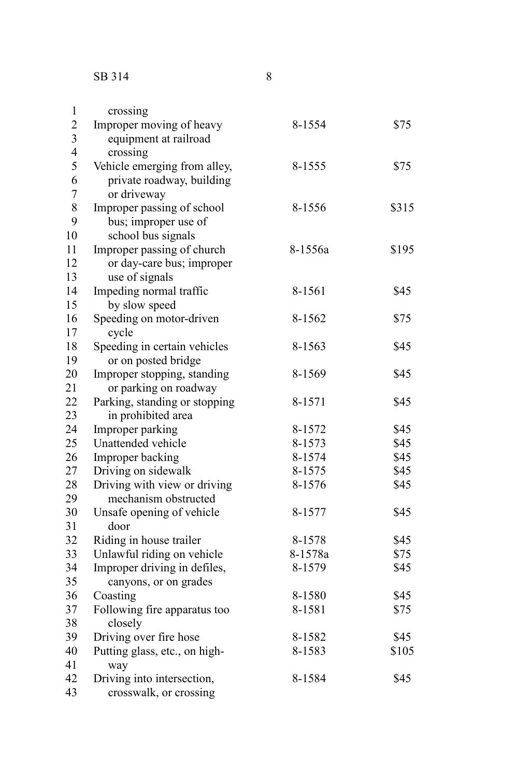| 1                       | crossing                      |         |       |
|-------------------------|-------------------------------|---------|-------|
| $\overline{c}$          | Improper moving of heavy      | 8-1554  | \$75  |
| $\overline{\mathbf{3}}$ | equipment at railroad         |         |       |
| $\overline{4}$          | crossing                      |         |       |
| 5                       | Vehicle emerging from alley,  | 8-1555  | \$75  |
| 6                       | private roadway, building     |         |       |
| $\overline{7}$          | or driveway                   |         |       |
| 8                       | Improper passing of school    | 8-1556  | \$315 |
| 9                       | bus; improper use of          |         |       |
| 10                      | school bus signals            |         |       |
| 11                      | Improper passing of church    | 8-1556a | \$195 |
| 12                      | or day-care bus; improper     |         |       |
| 13                      | use of signals                |         |       |
| 14                      | Impeding normal traffic       | 8-1561  | \$45  |
| 15                      | by slow speed                 |         |       |
| 16                      | Speeding on motor-driven      | 8-1562  | \$75  |
| 17                      | cycle                         |         |       |
| 18                      | Speeding in certain vehicles  | 8-1563  | \$45  |
| 19                      | or on posted bridge           |         |       |
| 20                      | Improper stopping, standing   | 8-1569  | \$45  |
| 21                      | or parking on roadway         |         |       |
| 22                      | Parking, standing or stopping | 8-1571  | \$45  |
| 23                      | in prohibited area            |         |       |
| 24                      | Improper parking              | 8-1572  | \$45  |
| 25                      | Unattended vehicle            | 8-1573  | \$45  |
| 26                      | Improper backing              | 8-1574  | \$45  |
| 27                      | Driving on sidewalk           | 8-1575  | \$45  |
| 28                      | Driving with view or driving  | 8-1576  | \$45  |
| 29                      | mechanism obstructed          |         |       |
| 30                      | Unsafe opening of vehicle     | 8-1577  | \$45  |
| 31                      | door                          |         |       |
| 32                      | Riding in house trailer       | 8-1578  | \$45  |
| 33                      | Unlawful riding on vehicle    | 8-1578a | \$75  |
| 34                      | Improper driving in defiles,  | 8-1579  | \$45  |
| 35                      | canyons, or on grades         |         |       |
| 36                      | Coasting                      | 8-1580  | \$45  |
| 37                      | Following fire apparatus too  | 8-1581  | \$75  |
| 38                      | closely                       |         |       |
| 39                      | Driving over fire hose        | 8-1582  | \$45  |
| 40                      | Putting glass, etc., on high- | 8-1583  | \$105 |
| 41                      | way                           |         |       |
| 42                      | Driving into intersection,    | 8-1584  | \$45  |
| 43                      | crosswalk, or crossing        |         |       |
|                         |                               |         |       |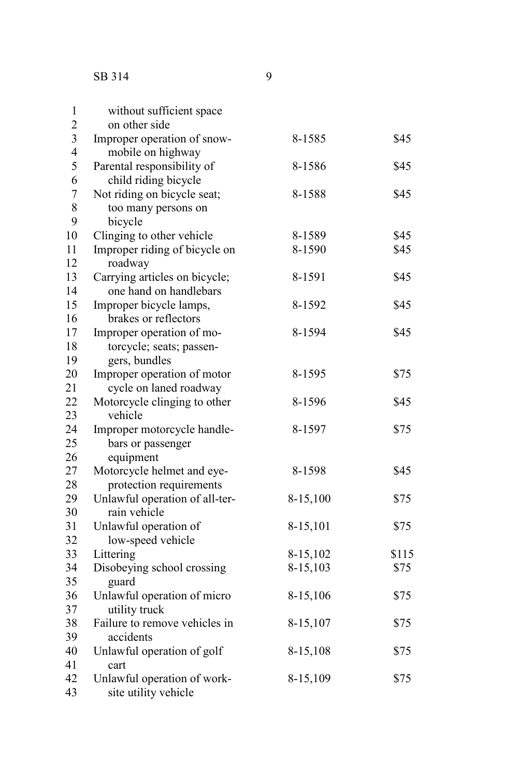| without sufficient space       |                                                                                                                                                                                                                                                                                                                                                                                                                                                                                                                                                                                                                                                                                     |                                                                                        |
|--------------------------------|-------------------------------------------------------------------------------------------------------------------------------------------------------------------------------------------------------------------------------------------------------------------------------------------------------------------------------------------------------------------------------------------------------------------------------------------------------------------------------------------------------------------------------------------------------------------------------------------------------------------------------------------------------------------------------------|----------------------------------------------------------------------------------------|
|                                |                                                                                                                                                                                                                                                                                                                                                                                                                                                                                                                                                                                                                                                                                     |                                                                                        |
|                                |                                                                                                                                                                                                                                                                                                                                                                                                                                                                                                                                                                                                                                                                                     | \$45                                                                                   |
|                                |                                                                                                                                                                                                                                                                                                                                                                                                                                                                                                                                                                                                                                                                                     |                                                                                        |
|                                |                                                                                                                                                                                                                                                                                                                                                                                                                                                                                                                                                                                                                                                                                     | \$45                                                                                   |
|                                |                                                                                                                                                                                                                                                                                                                                                                                                                                                                                                                                                                                                                                                                                     |                                                                                        |
|                                |                                                                                                                                                                                                                                                                                                                                                                                                                                                                                                                                                                                                                                                                                     | \$45                                                                                   |
|                                |                                                                                                                                                                                                                                                                                                                                                                                                                                                                                                                                                                                                                                                                                     |                                                                                        |
|                                |                                                                                                                                                                                                                                                                                                                                                                                                                                                                                                                                                                                                                                                                                     |                                                                                        |
|                                |                                                                                                                                                                                                                                                                                                                                                                                                                                                                                                                                                                                                                                                                                     | \$45                                                                                   |
|                                |                                                                                                                                                                                                                                                                                                                                                                                                                                                                                                                                                                                                                                                                                     | \$45                                                                                   |
|                                |                                                                                                                                                                                                                                                                                                                                                                                                                                                                                                                                                                                                                                                                                     |                                                                                        |
|                                |                                                                                                                                                                                                                                                                                                                                                                                                                                                                                                                                                                                                                                                                                     | \$45                                                                                   |
|                                |                                                                                                                                                                                                                                                                                                                                                                                                                                                                                                                                                                                                                                                                                     |                                                                                        |
|                                |                                                                                                                                                                                                                                                                                                                                                                                                                                                                                                                                                                                                                                                                                     | \$45                                                                                   |
|                                |                                                                                                                                                                                                                                                                                                                                                                                                                                                                                                                                                                                                                                                                                     |                                                                                        |
|                                |                                                                                                                                                                                                                                                                                                                                                                                                                                                                                                                                                                                                                                                                                     | \$45                                                                                   |
|                                |                                                                                                                                                                                                                                                                                                                                                                                                                                                                                                                                                                                                                                                                                     |                                                                                        |
|                                |                                                                                                                                                                                                                                                                                                                                                                                                                                                                                                                                                                                                                                                                                     |                                                                                        |
|                                | 8-1595                                                                                                                                                                                                                                                                                                                                                                                                                                                                                                                                                                                                                                                                              | \$75                                                                                   |
|                                |                                                                                                                                                                                                                                                                                                                                                                                                                                                                                                                                                                                                                                                                                     |                                                                                        |
|                                |                                                                                                                                                                                                                                                                                                                                                                                                                                                                                                                                                                                                                                                                                     | \$45                                                                                   |
|                                |                                                                                                                                                                                                                                                                                                                                                                                                                                                                                                                                                                                                                                                                                     |                                                                                        |
|                                | 8-1597                                                                                                                                                                                                                                                                                                                                                                                                                                                                                                                                                                                                                                                                              | \$75                                                                                   |
| bars or passenger              |                                                                                                                                                                                                                                                                                                                                                                                                                                                                                                                                                                                                                                                                                     |                                                                                        |
| equipment                      |                                                                                                                                                                                                                                                                                                                                                                                                                                                                                                                                                                                                                                                                                     |                                                                                        |
|                                | 8-1598                                                                                                                                                                                                                                                                                                                                                                                                                                                                                                                                                                                                                                                                              | \$45                                                                                   |
|                                |                                                                                                                                                                                                                                                                                                                                                                                                                                                                                                                                                                                                                                                                                     |                                                                                        |
| Unlawful operation of all-ter- | 8-15,100                                                                                                                                                                                                                                                                                                                                                                                                                                                                                                                                                                                                                                                                            | \$75                                                                                   |
| rain vehicle                   |                                                                                                                                                                                                                                                                                                                                                                                                                                                                                                                                                                                                                                                                                     |                                                                                        |
| Unlawful operation of          | 8-15,101                                                                                                                                                                                                                                                                                                                                                                                                                                                                                                                                                                                                                                                                            | \$75                                                                                   |
| low-speed vehicle              |                                                                                                                                                                                                                                                                                                                                                                                                                                                                                                                                                                                                                                                                                     |                                                                                        |
| Littering                      | 8-15,102                                                                                                                                                                                                                                                                                                                                                                                                                                                                                                                                                                                                                                                                            | \$115                                                                                  |
|                                | 8-15,103                                                                                                                                                                                                                                                                                                                                                                                                                                                                                                                                                                                                                                                                            | \$75                                                                                   |
| guard                          |                                                                                                                                                                                                                                                                                                                                                                                                                                                                                                                                                                                                                                                                                     |                                                                                        |
| Unlawful operation of micro    | 8-15,106                                                                                                                                                                                                                                                                                                                                                                                                                                                                                                                                                                                                                                                                            | \$75                                                                                   |
| utility truck                  |                                                                                                                                                                                                                                                                                                                                                                                                                                                                                                                                                                                                                                                                                     |                                                                                        |
| Failure to remove vehicles in  | 8-15,107                                                                                                                                                                                                                                                                                                                                                                                                                                                                                                                                                                                                                                                                            | \$75                                                                                   |
| accidents                      |                                                                                                                                                                                                                                                                                                                                                                                                                                                                                                                                                                                                                                                                                     |                                                                                        |
| Unlawful operation of golf     | 8-15,108                                                                                                                                                                                                                                                                                                                                                                                                                                                                                                                                                                                                                                                                            | \$75                                                                                   |
| cart                           |                                                                                                                                                                                                                                                                                                                                                                                                                                                                                                                                                                                                                                                                                     |                                                                                        |
| Unlawful operation of work-    | 8-15,109                                                                                                                                                                                                                                                                                                                                                                                                                                                                                                                                                                                                                                                                            | \$75                                                                                   |
| site utility vehicle           |                                                                                                                                                                                                                                                                                                                                                                                                                                                                                                                                                                                                                                                                                     |                                                                                        |
|                                | on other side<br>Improper operation of snow-<br>mobile on highway<br>Parental responsibility of<br>child riding bicycle<br>Not riding on bicycle seat;<br>too many persons on<br>bicycle<br>Clinging to other vehicle<br>Improper riding of bicycle on<br>roadway<br>Carrying articles on bicycle;<br>one hand on handlebars<br>Improper bicycle lamps,<br>brakes or reflectors<br>Improper operation of mo-<br>torcycle; seats; passen-<br>gers, bundles<br>Improper operation of motor<br>cycle on laned roadway<br>Motorcycle clinging to other<br>vehicle<br>Improper motorcycle handle-<br>Motorcycle helmet and eye-<br>protection requirements<br>Disobeying school crossing | 8-1585<br>8-1586<br>8-1588<br>8-1589<br>8-1590<br>8-1591<br>8-1592<br>8-1594<br>8-1596 |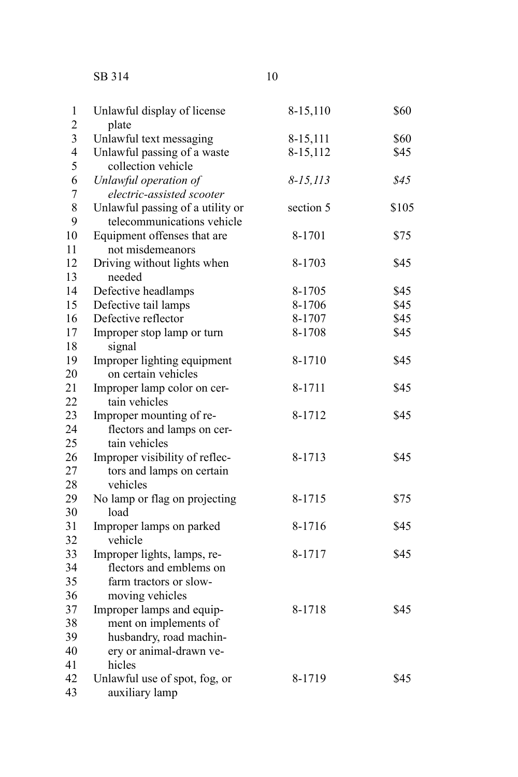## SB 314 10

| $\mathbf{1}$            | Unlawful display of license                       | 8-15,110      | \$60  |
|-------------------------|---------------------------------------------------|---------------|-------|
| $\overline{c}$          | plate                                             |               |       |
| $\overline{\mathbf{3}}$ | Unlawful text messaging                           | 8-15,111      | \$60  |
| $\overline{4}$<br>5     | Unlawful passing of a waste<br>collection vehicle | 8-15,112      | \$45  |
| 6                       | Unlawful operation of                             | $8 - 15, 113$ | \$45  |
| $\overline{7}$          | electric-assisted scooter                         |               |       |
| 8                       | Unlawful passing of a utility or                  | section 5     | \$105 |
| 9                       | telecommunications vehicle                        |               |       |
| 10                      | Equipment offenses that are                       | 8-1701        | \$75  |
| 11                      | not misdemeanors                                  |               |       |
| 12                      | Driving without lights when                       | 8-1703        | \$45  |
| 13                      | needed                                            |               |       |
| 14                      | Defective headlamps                               | 8-1705        | \$45  |
| 15                      | Defective tail lamps                              | 8-1706        | \$45  |
| 16                      | Defective reflector                               | 8-1707        | \$45  |
| 17                      | Improper stop lamp or turn                        | 8-1708        | \$45  |
| 18                      | signal                                            |               |       |
| 19                      | Improper lighting equipment                       | 8-1710        | \$45  |
| 20                      | on certain vehicles                               |               |       |
| 21                      | Improper lamp color on cer-                       | 8-1711        | \$45  |
| $\overline{22}$         | tain vehicles                                     |               |       |
| 23                      | Improper mounting of re-                          | 8-1712        | \$45  |
| 24                      | flectors and lamps on cer-                        |               |       |
| 25                      | tain vehicles                                     |               |       |
| 26                      | Improper visibility of reflec-                    | 8-1713        | \$45  |
| 27                      | tors and lamps on certain                         |               |       |
| 28                      | vehicles                                          |               |       |
| 29                      | No lamp or flag on projecting                     | 8-1715        | \$75  |
| 30                      | load                                              |               |       |
| 31                      | Improper lamps on parked                          | 8-1716        | \$45  |
| 32                      | vehicle                                           |               |       |
| 33                      | Improper lights, lamps, re-                       | 8-1717        | \$45  |
| 34                      | flectors and emblems on                           |               |       |
| 35                      | farm tractors or slow-                            |               |       |
| 36                      | moving vehicles                                   |               |       |
| 37                      | Improper lamps and equip-                         | 8-1718        | \$45  |
| 38                      | ment on implements of                             |               |       |
| 39                      | husbandry, road machin-                           |               |       |
| 40                      | ery or animal-drawn ve-                           |               |       |
| 41                      | hicles                                            |               |       |
| 42                      | Unlawful use of spot, fog, or                     | 8-1719        | \$45  |
| 43                      | auxiliary lamp                                    |               |       |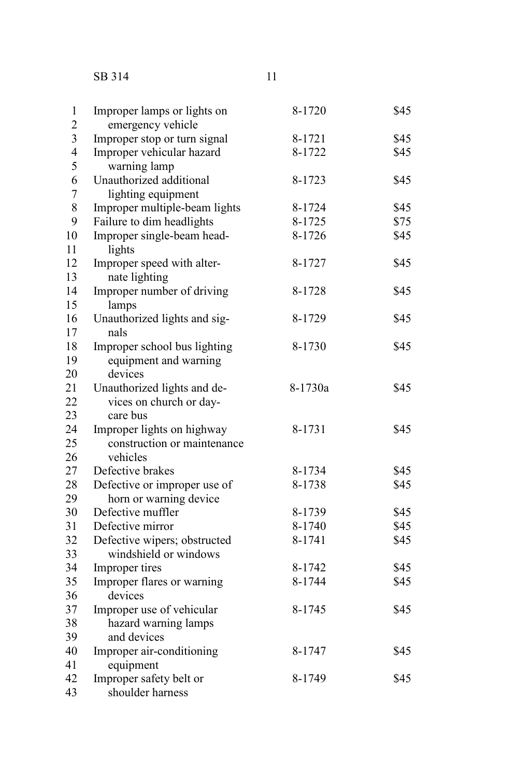SB 314 11

| 1              | Improper lamps or lights on   | 8-1720  | \$45 |
|----------------|-------------------------------|---------|------|
| $\overline{c}$ | emergency vehicle             |         |      |
| 3              | Improper stop or turn signal  | 8-1721  | \$45 |
| 4              | Improper vehicular hazard     | 8-1722  | \$45 |
| 5              | warning lamp                  |         |      |
| 6              | Unauthorized additional       | 8-1723  | \$45 |
| 7              | lighting equipment            |         |      |
| 8              | Improper multiple-beam lights | 8-1724  | \$45 |
| 9              | Failure to dim headlights     | 8-1725  | \$75 |
| 10             | Improper single-beam head-    | 8-1726  | \$45 |
| 11             | lights                        |         |      |
| 12             | Improper speed with alter-    | 8-1727  | \$45 |
| 13             | nate lighting                 |         |      |
| 14             | Improper number of driving    | 8-1728  | \$45 |
| 15             | lamps                         |         |      |
| 16             | Unauthorized lights and sig-  | 8-1729  | \$45 |
| 17             | nals                          |         |      |
| 18             | Improper school bus lighting  | 8-1730  | \$45 |
| 19             | equipment and warning         |         |      |
| 20             | devices                       |         |      |
| 21             | Unauthorized lights and de-   | 8-1730a | \$45 |
| 22             | vices on church or day-       |         |      |
| 23             | care bus                      |         |      |
| 24             | Improper lights on highway    | 8-1731  | \$45 |
| 25             | construction or maintenance   |         |      |
| 26             | vehicles                      |         |      |
| 27             | Defective brakes              | 8-1734  | \$45 |
| 28             | Defective or improper use of  | 8-1738  | \$45 |
| 29             | horn or warning device        |         |      |
| 30             | Defective muffler             | 8-1739  | \$45 |
| 31             | Defective mirror              | 8-1740  | \$45 |
| 32             | Defective wipers; obstructed  | 8-1741  | \$45 |
| 33             | windshield or windows         |         |      |
| 34             | Improper tires                | 8-1742  | \$45 |
| 35             | Improper flares or warning    | 8-1744  | \$45 |
| 36             | devices                       |         |      |
| 37             | Improper use of vehicular     | 8-1745  | \$45 |
| 38             | hazard warning lamps          |         |      |
| 39             | and devices                   |         |      |
| 40             | Improper air-conditioning     | 8-1747  | \$45 |
| 41             | equipment                     |         |      |
| 42             | Improper safety belt or       | 8-1749  | \$45 |
| 43             | shoulder harness              |         |      |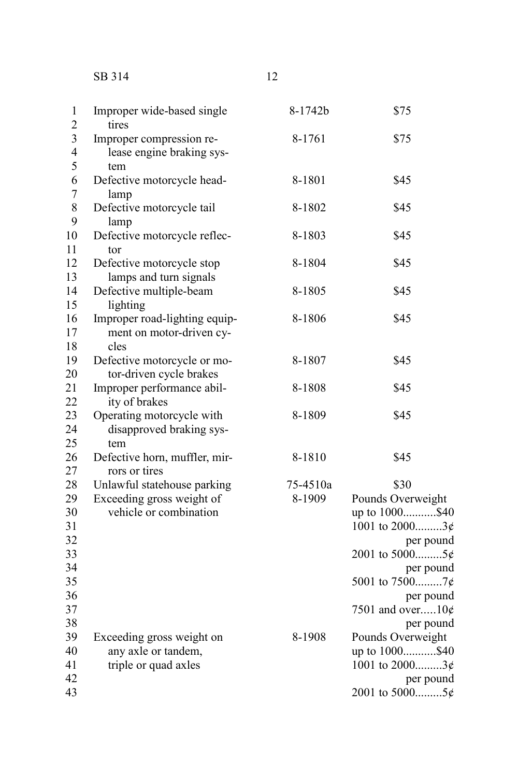## SB 314 12

| $\overline{\mathbf{c}}$ | tires                                                 |          |                        |
|-------------------------|-------------------------------------------------------|----------|------------------------|
| $\overline{\mathbf{3}}$ |                                                       | 8-1761   | \$75                   |
| $\overline{4}$          | Improper compression re-<br>lease engine braking sys- |          |                        |
| 5                       |                                                       |          |                        |
|                         | tem                                                   |          |                        |
| 6                       | Defective motorcycle head-                            | 8-1801   | \$45                   |
| $\overline{7}$          | lamp                                                  |          |                        |
| 8                       | Defective motorcycle tail                             | 8-1802   | \$45                   |
| 9                       | lamp                                                  |          |                        |
| 10                      | Defective motorcycle reflec-                          | 8-1803   | \$45                   |
| 11                      | tor                                                   |          |                        |
| 12                      | Defective motorcycle stop                             | 8-1804   | \$45                   |
| 13                      | lamps and turn signals                                |          |                        |
| 14                      | Defective multiple-beam                               | 8-1805   | \$45                   |
| 15                      | lighting                                              |          |                        |
| 16                      | Improper road-lighting equip-                         | 8-1806   | \$45                   |
| 17                      | ment on motor-driven cy-                              |          |                        |
| 18                      | cles                                                  |          |                        |
| 19                      | Defective motorcycle or mo-                           | 8-1807   | \$45                   |
| 20                      | tor-driven cycle brakes                               |          |                        |
| 21                      | Improper performance abil-                            | 8-1808   | \$45                   |
| 22                      | ity of brakes                                         |          |                        |
| 23                      | Operating motorcycle with                             | 8-1809   | \$45                   |
| 24                      | disapproved braking sys-                              |          |                        |
| 25                      | tem                                                   |          |                        |
| 26                      | Defective horn, muffler, mir-                         | 8-1810   | \$45                   |
| 27                      | rors or tires                                         |          |                        |
| 28                      | Unlawful statehouse parking                           | 75-4510a | \$30                   |
| 29                      | Exceeding gross weight of                             | 8-1909   | Pounds Overweight      |
| 30                      | vehicle or combination                                |          | up to 1000\$40         |
| 31                      |                                                       |          | 1001 to 20003¢         |
| 32                      |                                                       |          | per pound              |
| 33                      |                                                       |          | 2001 to 50005¢         |
| 34                      |                                                       |          | per pound              |
| 35                      |                                                       |          | 5001 to 75007¢         |
| 36                      |                                                       |          | per pound              |
| 37                      |                                                       |          | 7501 and over10 $\phi$ |
| 38                      |                                                       |          | per pound              |
| 39                      | Exceeding gross weight on                             | 8-1908   | Pounds Overweight      |
| 40                      | any axle or tandem,                                   |          | up to 1000\$40         |
| 41                      | triple or quad axles                                  |          | 1001 to 20003¢         |
| 42                      |                                                       |          | per pound              |
| 43                      |                                                       |          | 2001 to 50005¢         |
|                         |                                                       |          |                        |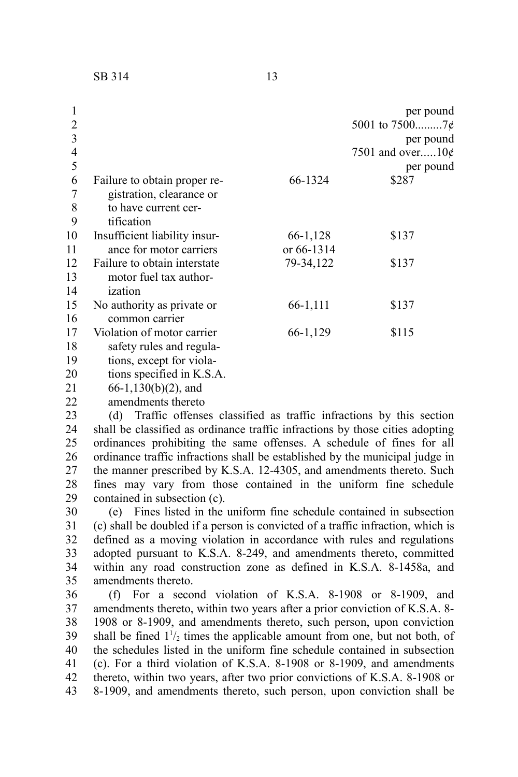| 2<br>3<br>4<br>5 |                               |            | per pound<br>per pound<br>7501 and over10 $\phi$<br>per pound |
|------------------|-------------------------------|------------|---------------------------------------------------------------|
| 6                | Failure to obtain proper re-  | 66-1324    | \$287                                                         |
| 7                | gistration, clearance or      |            |                                                               |
| 8                | to have current cer-          |            |                                                               |
| 9                | tification                    |            |                                                               |
| 10               | Insufficient liability insur- | 66-1,128   | \$137                                                         |
| 11               | ance for motor carriers       | or 66-1314 |                                                               |
| 12               | Failure to obtain interstate  | 79-34,122  | \$137                                                         |
| 13               | motor fuel tax author-        |            |                                                               |
| 14               | ization                       |            |                                                               |
| 15               | No authority as private or    | 66-1,111   | \$137                                                         |
| 16               | common carrier                |            |                                                               |
| 17               | Violation of motor carrier    | 66-1,129   | \$115                                                         |
| 18               | safety rules and regula-      |            |                                                               |
| 19               | tions, except for viola-      |            |                                                               |
| 20               | tions specified in K.S.A.     |            |                                                               |

66-1,130(b)(2), and 21

amendments thereto 22

(d) Traffic offenses classified as traffic infractions by this section shall be classified as ordinance traffic infractions by those cities adopting ordinances prohibiting the same offenses. A schedule of fines for all ordinance traffic infractions shall be established by the municipal judge in the manner prescribed by K.S.A. 12-4305, and amendments thereto. Such fines may vary from those contained in the uniform fine schedule contained in subsection (c). 23 24 25 26 27 28 29

(e) Fines listed in the uniform fine schedule contained in subsection (c) shall be doubled if a person is convicted of a traffic infraction, which is defined as a moving violation in accordance with rules and regulations adopted pursuant to K.S.A. 8-249, and amendments thereto, committed within any road construction zone as defined in K.S.A. 8-1458a, and amendments thereto. 30 31 32 33 34 35

(f) For a second violation of K.S.A. 8-1908 or 8-1909, and amendments thereto, within two years after a prior conviction of K.S.A. 8- 1908 or 8-1909, and amendments thereto, such person, upon conviction shall be fined  $1\frac{1}{2}$  times the applicable amount from one, but not both, of the schedules listed in the uniform fine schedule contained in subsection (c). For a third violation of K.S.A. 8-1908 or 8-1909, and amendments thereto, within two years, after two prior convictions of K.S.A. 8-1908 or 8-1909, and amendments thereto, such person, upon conviction shall be 36 37 38 39 40 41 42 43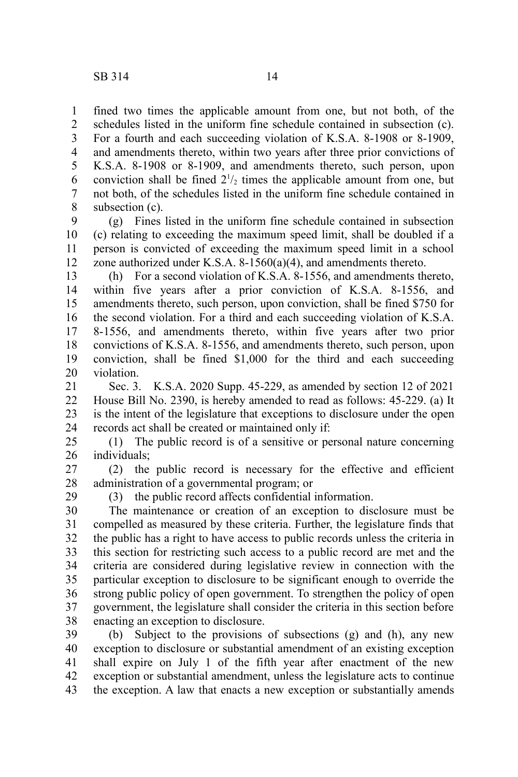29

fined two times the applicable amount from one, but not both, of the schedules listed in the uniform fine schedule contained in subsection (c). For a fourth and each succeeding violation of K.S.A. 8-1908 or 8-1909, and amendments thereto, within two years after three prior convictions of K.S.A. 8-1908 or 8-1909, and amendments thereto, such person, upon conviction shall be fined  $2^{1/2}$  times the applicable amount from one, but not both, of the schedules listed in the uniform fine schedule contained in subsection (c). 1 2 3 4 5 6 7 8

(g) Fines listed in the uniform fine schedule contained in subsection (c) relating to exceeding the maximum speed limit, shall be doubled if a person is convicted of exceeding the maximum speed limit in a school zone authorized under K.S.A. 8-1560(a)(4), and amendments thereto. 9 10 11 12

(h) For a second violation of K.S.A. 8-1556, and amendments thereto, within five years after a prior conviction of K.S.A. 8-1556, and amendments thereto, such person, upon conviction, shall be fined \$750 for the second violation. For a third and each succeeding violation of K.S.A. 8-1556, and amendments thereto, within five years after two prior convictions of K.S.A. 8-1556, and amendments thereto, such person, upon conviction, shall be fined \$1,000 for the third and each succeeding violation. 13 14 15 16 17 18 19 20

Sec. 3. K.S.A. 2020 Supp. 45-229, as amended by section 12 of 2021 House Bill No. 2390, is hereby amended to read as follows: 45-229. (a) It is the intent of the legislature that exceptions to disclosure under the open records act shall be created or maintained only if: 21 22 23 24

(1) The public record is of a sensitive or personal nature concerning individuals; 25 26

(2) the public record is necessary for the effective and efficient administration of a governmental program; or 27 28

(3) the public record affects confidential information.

The maintenance or creation of an exception to disclosure must be compelled as measured by these criteria. Further, the legislature finds that the public has a right to have access to public records unless the criteria in this section for restricting such access to a public record are met and the criteria are considered during legislative review in connection with the particular exception to disclosure to be significant enough to override the strong public policy of open government. To strengthen the policy of open government, the legislature shall consider the criteria in this section before enacting an exception to disclosure. 30 31 32 33 34 35 36 37 38

(b) Subject to the provisions of subsections (g) and (h), any new exception to disclosure or substantial amendment of an existing exception shall expire on July 1 of the fifth year after enactment of the new exception or substantial amendment, unless the legislature acts to continue the exception. A law that enacts a new exception or substantially amends 39 40 41 42 43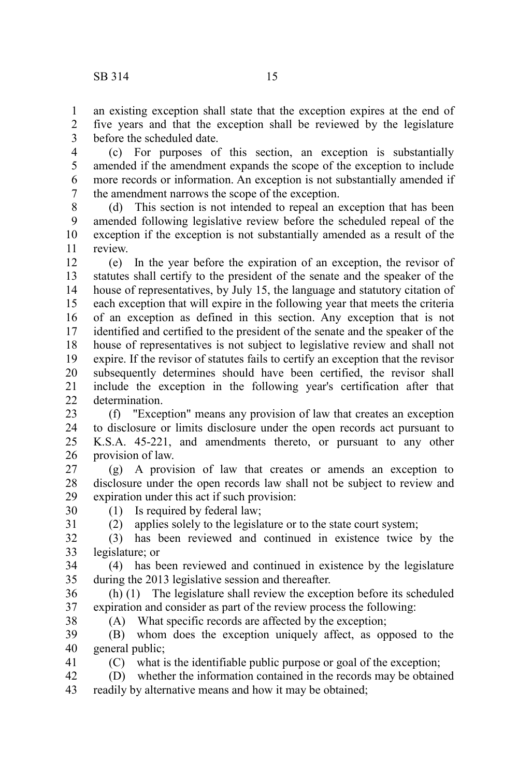an existing exception shall state that the exception expires at the end of five years and that the exception shall be reviewed by the legislature before the scheduled date. 1 2 3

(c) For purposes of this section, an exception is substantially amended if the amendment expands the scope of the exception to include more records or information. An exception is not substantially amended if the amendment narrows the scope of the exception. 4 5 6 7

(d) This section is not intended to repeal an exception that has been amended following legislative review before the scheduled repeal of the exception if the exception is not substantially amended as a result of the review. 8 9 10 11

(e) In the year before the expiration of an exception, the revisor of statutes shall certify to the president of the senate and the speaker of the house of representatives, by July 15, the language and statutory citation of each exception that will expire in the following year that meets the criteria of an exception as defined in this section. Any exception that is not identified and certified to the president of the senate and the speaker of the house of representatives is not subject to legislative review and shall not expire. If the revisor of statutes fails to certify an exception that the revisor subsequently determines should have been certified, the revisor shall include the exception in the following year's certification after that determination. 12 13 14 15 16 17 18 19 20 21  $22$ 

(f) "Exception" means any provision of law that creates an exception to disclosure or limits disclosure under the open records act pursuant to K.S.A. 45-221, and amendments thereto, or pursuant to any other provision of law. 23 24 25 26

(g) A provision of law that creates or amends an exception to disclosure under the open records law shall not be subject to review and expiration under this act if such provision: 27 28 29

(1) Is required by federal law;

30 31

38

41

(2) applies solely to the legislature or to the state court system;

(3) has been reviewed and continued in existence twice by the legislature; or 32 33

(4) has been reviewed and continued in existence by the legislature during the 2013 legislative session and thereafter. 34 35

(h) (1) The legislature shall review the exception before its scheduled expiration and consider as part of the review process the following: 36 37

(A) What specific records are affected by the exception;

(B) whom does the exception uniquely affect, as opposed to the general public; 39 40

(C) what is the identifiable public purpose or goal of the exception;

(D) whether the information contained in the records may be obtained readily by alternative means and how it may be obtained; 42 43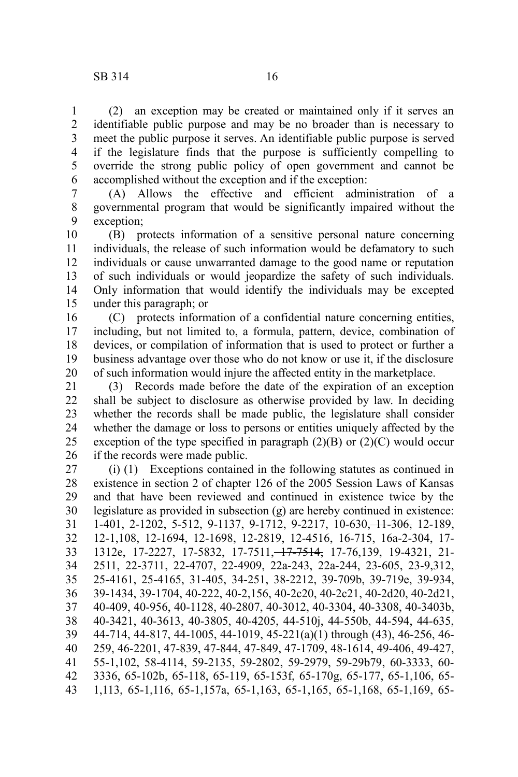(2) an exception may be created or maintained only if it serves an identifiable public purpose and may be no broader than is necessary to meet the public purpose it serves. An identifiable public purpose is served if the legislature finds that the purpose is sufficiently compelling to override the strong public policy of open government and cannot be

accomplished without the exception and if the exception: (A) Allows the effective and efficient administration of a governmental program that would be significantly impaired without the exception; 6 7 8 9

(B) protects information of a sensitive personal nature concerning individuals, the release of such information would be defamatory to such individuals or cause unwarranted damage to the good name or reputation of such individuals or would jeopardize the safety of such individuals. Only information that would identify the individuals may be excepted under this paragraph; or 10 11 12 13 14 15

(C) protects information of a confidential nature concerning entities, including, but not limited to, a formula, pattern, device, combination of devices, or compilation of information that is used to protect or further a business advantage over those who do not know or use it, if the disclosure of such information would injure the affected entity in the marketplace. 16 17 18 19 20

(3) Records made before the date of the expiration of an exception shall be subject to disclosure as otherwise provided by law. In deciding whether the records shall be made public, the legislature shall consider whether the damage or loss to persons or entities uniquely affected by the exception of the type specified in paragraph  $(2)(B)$  or  $(2)(C)$  would occur if the records were made public. 21 22 23 24 25 26

(i) (1) Exceptions contained in the following statutes as continued in existence in section 2 of chapter 126 of the 2005 Session Laws of Kansas and that have been reviewed and continued in existence twice by the legislature as provided in subsection (g) are hereby continued in existence: 1-401, 2-1202, 5-512, 9-1137, 9-1712, 9-2217, 10-630, 11-306, 12-189, 12-1,108, 12-1694, 12-1698, 12-2819, 12-4516, 16-715, 16a-2-304, 17- 1312e, 17-2227, 17-5832, 17-7511, 17-7514, 17-76,139, 19-4321, 21- 2511, 22-3711, 22-4707, 22-4909, 22a-243, 22a-244, 23-605, 23-9,312, 25-4161, 25-4165, 31-405, 34-251, 38-2212, 39-709b, 39-719e, 39-934, 39-1434, 39-1704, 40-222, 40-2,156, 40-2c20, 40-2c21, 40-2d20, 40-2d21, 40-409, 40-956, 40-1128, 40-2807, 40-3012, 40-3304, 40-3308, 40-3403b, 40-3421, 40-3613, 40-3805, 40-4205, 44-510j, 44-550b, 44-594, 44-635, 44-714, 44-817, 44-1005, 44-1019, 45-221(a)(1) through (43), 46-256, 46- 259, 46-2201, 47-839, 47-844, 47-849, 47-1709, 48-1614, 49-406, 49-427, 55-1,102, 58-4114, 59-2135, 59-2802, 59-2979, 59-29b79, 60-3333, 60- 3336, 65-102b, 65-118, 65-119, 65-153f, 65-170g, 65-177, 65-1,106, 65- 1,113, 65-1,116, 65-1,157a, 65-1,163, 65-1,165, 65-1,168, 65-1,169, 65- 27 28 29 30 31 32 33 34 35 36 37 38 39 40 41 42 43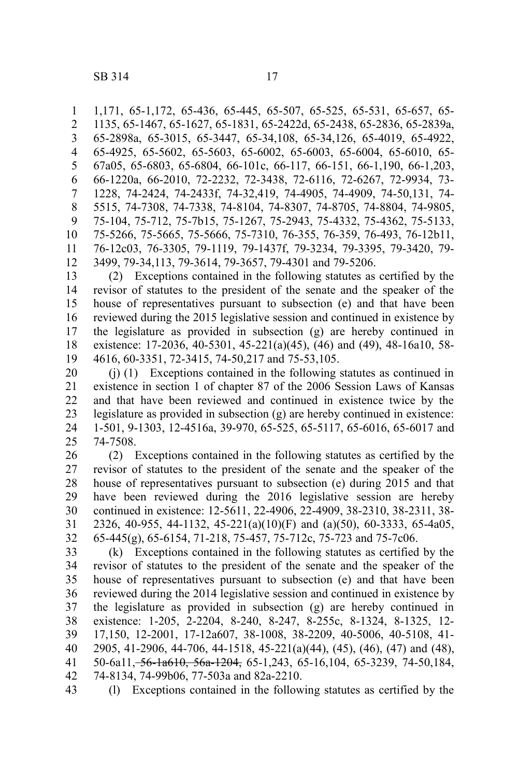1,171, 65-1,172, 65-436, 65-445, 65-507, 65-525, 65-531, 65-657, 65- 1135, 65-1467, 65-1627, 65-1831, 65-2422d, 65-2438, 65-2836, 65-2839a, 65-2898a, 65-3015, 65-3447, 65-34,108, 65-34,126, 65-4019, 65-4922, 65-4925, 65-5602, 65-5603, 65-6002, 65-6003, 65-6004, 65-6010, 65- 67a05, 65-6803, 65-6804, 66-101c, 66-117, 66-151, 66-1,190, 66-1,203, 66-1220a, 66-2010, 72-2232, 72-3438, 72-6116, 72-6267, 72-9934, 73- 1228, 74-2424, 74-2433f, 74-32,419, 74-4905, 74-4909, 74-50,131, 74- 5515, 74-7308, 74-7338, 74-8104, 74-8307, 74-8705, 74-8804, 74-9805, 75-104, 75-712, 75-7b15, 75-1267, 75-2943, 75-4332, 75-4362, 75-5133, 75-5266, 75-5665, 75-5666, 75-7310, 76-355, 76-359, 76-493, 76-12b11, 76-12c03, 76-3305, 79-1119, 79-1437f, 79-3234, 79-3395, 79-3420, 79- 3499, 79-34,113, 79-3614, 79-3657, 79-4301 and 79-5206. 1 2 3 4 5 6 7 8 9 10 11 12

(2) Exceptions contained in the following statutes as certified by the revisor of statutes to the president of the senate and the speaker of the house of representatives pursuant to subsection (e) and that have been reviewed during the 2015 legislative session and continued in existence by the legislature as provided in subsection (g) are hereby continued in existence: 17-2036, 40-5301, 45-221(a)(45), (46) and (49), 48-16a10, 58- 4616, 60-3351, 72-3415, 74-50,217 and 75-53,105. 13 14 15 16 17 18 19

(j) (1) Exceptions contained in the following statutes as continued in existence in section 1 of chapter 87 of the 2006 Session Laws of Kansas and that have been reviewed and continued in existence twice by the legislature as provided in subsection (g) are hereby continued in existence: 1-501, 9-1303, 12-4516a, 39-970, 65-525, 65-5117, 65-6016, 65-6017 and 74-7508. 20 21 22 23 24 25

(2) Exceptions contained in the following statutes as certified by the revisor of statutes to the president of the senate and the speaker of the house of representatives pursuant to subsection (e) during 2015 and that have been reviewed during the 2016 legislative session are hereby continued in existence: 12-5611, 22-4906, 22-4909, 38-2310, 38-2311, 38- 2326, 40-955, 44-1132, 45-221(a)(10)(F) and (a)(50), 60-3333, 65-4a05, 65-445(g), 65-6154, 71-218, 75-457, 75-712c, 75-723 and 75-7c06. 26 27 28 29 30 31 32

(k) Exceptions contained in the following statutes as certified by the revisor of statutes to the president of the senate and the speaker of the house of representatives pursuant to subsection (e) and that have been reviewed during the 2014 legislative session and continued in existence by the legislature as provided in subsection (g) are hereby continued in existence: 1-205, 2-2204, 8-240, 8-247, 8-255c, 8-1324, 8-1325, 12- 17,150, 12-2001, 17-12a607, 38-1008, 38-2209, 40-5006, 40-5108, 41- 2905, 41-2906, 44-706, 44-1518, 45-221(a)(44), (45), (46), (47) and (48), 50-6a11, 56-1a610, 56a-1204, 65-1,243, 65-16,104, 65-3239, 74-50,184, 74-8134, 74-99b06, 77-503a and 82a-2210. 33 34 35 36 37 38 39 40 41 42

(l) Exceptions contained in the following statutes as certified by the 43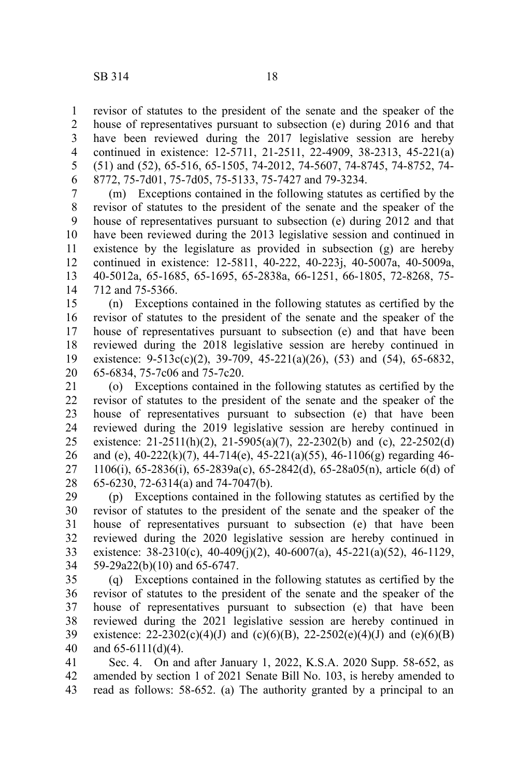revisor of statutes to the president of the senate and the speaker of the house of representatives pursuant to subsection (e) during 2016 and that have been reviewed during the 2017 legislative session are hereby continued in existence: 12-5711, 21-2511, 22-4909, 38-2313, 45-221(a) (51) and (52), 65-516, 65-1505, 74-2012, 74-5607, 74-8745, 74-8752, 74- 8772, 75-7d01, 75-7d05, 75-5133, 75-7427 and 79-3234. 1 2 3 4 5 6

(m) Exceptions contained in the following statutes as certified by the revisor of statutes to the president of the senate and the speaker of the house of representatives pursuant to subsection (e) during 2012 and that have been reviewed during the 2013 legislative session and continued in existence by the legislature as provided in subsection (g) are hereby continued in existence: 12-5811, 40-222, 40-223j, 40-5007a, 40-5009a, 40-5012a, 65-1685, 65-1695, 65-2838a, 66-1251, 66-1805, 72-8268, 75- 712 and 75-5366. 7 8 9 10 11 12 13 14

(n) Exceptions contained in the following statutes as certified by the revisor of statutes to the president of the senate and the speaker of the house of representatives pursuant to subsection (e) and that have been reviewed during the 2018 legislative session are hereby continued in existence:  $9-513c(c)(2)$ ,  $39-709$ ,  $45-221(a)(26)$ ,  $(53)$  and  $(54)$ ,  $65-6832$ , 65-6834, 75-7c06 and 75-7c20. 15 16 17 18 19 20

(o) Exceptions contained in the following statutes as certified by the revisor of statutes to the president of the senate and the speaker of the house of representatives pursuant to subsection (e) that have been reviewed during the 2019 legislative session are hereby continued in existence:  $21-2511(h)(2)$ ,  $21-5905(a)(7)$ ,  $22-2302(b)$  and (c),  $22-2502(d)$ and (e),  $40-222(k)(7)$ ,  $44-714(e)$ ,  $45-221(a)(55)$ ,  $46-1106(g)$  regarding  $46-$ 1106(i), 65-2836(i), 65-2839a(c), 65-2842(d), 65-28a05(n), article 6(d) of 65-6230, 72-6314(a) and 74-7047(b). 21 22 23 24 25 26 27 28

(p) Exceptions contained in the following statutes as certified by the revisor of statutes to the president of the senate and the speaker of the house of representatives pursuant to subsection (e) that have been reviewed during the 2020 legislative session are hereby continued in existence:  $38-2310(c)$ ,  $40-409(i)(2)$ ,  $40-6007(a)$ ,  $45-221(a)(52)$ ,  $46-1129$ , 59-29a22(b)(10) and 65-6747. 29 30 31 32 33 34

(q) Exceptions contained in the following statutes as certified by the revisor of statutes to the president of the senate and the speaker of the house of representatives pursuant to subsection (e) that have been reviewed during the 2021 legislative session are hereby continued in existence: 22-2302(c)(4)(J) and (c)(6)(B), 22-2502(e)(4)(J) and (e)(6)(B) and 65-6111(d)(4). 35 36 37 38 39 40

Sec. 4. On and after January 1, 2022, K.S.A. 2020 Supp. 58-652, as amended by section 1 of 2021 Senate Bill No. 103, is hereby amended to read as follows: 58-652. (a) The authority granted by a principal to an 41 42 43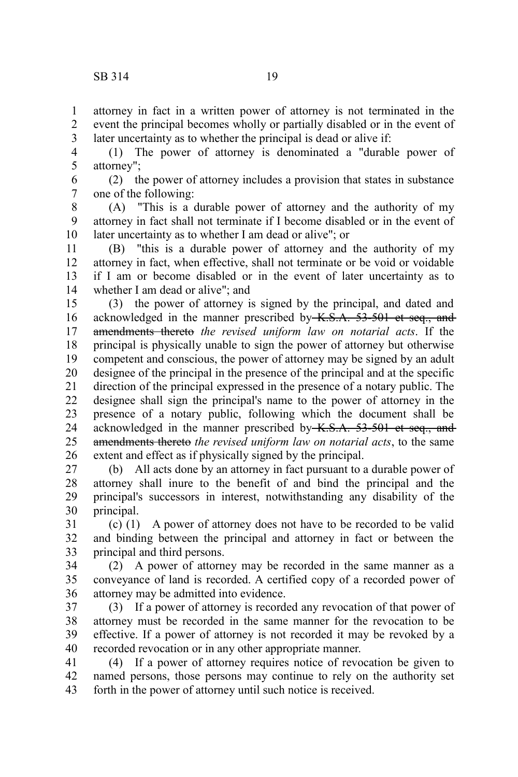attorney in fact in a written power of attorney is not terminated in the event the principal becomes wholly or partially disabled or in the event of later uncertainty as to whether the principal is dead or alive if: 1 2 3

(1) The power of attorney is denominated a "durable power of attorney"; 4 5

(2) the power of attorney includes a provision that states in substance one of the following: 6 7

(A) "This is a durable power of attorney and the authority of my attorney in fact shall not terminate if I become disabled or in the event of later uncertainty as to whether I am dead or alive"; or 8 9 10

(B) "this is a durable power of attorney and the authority of my attorney in fact, when effective, shall not terminate or be void or voidable if I am or become disabled or in the event of later uncertainty as to whether I am dead or alive"; and 11 12 13 14

(3) the power of attorney is signed by the principal, and dated and acknowledged in the manner prescribed by K.S.A. 53-501 et seq., and amendments thereto *the revised uniform law on notarial acts*. If the principal is physically unable to sign the power of attorney but otherwise competent and conscious, the power of attorney may be signed by an adult designee of the principal in the presence of the principal and at the specific direction of the principal expressed in the presence of a notary public. The designee shall sign the principal's name to the power of attorney in the presence of a notary public, following which the document shall be acknowledged in the manner prescribed by K.S.A. 53-501 et seq., and amendments thereto *the revised uniform law on notarial acts*, to the same extent and effect as if physically signed by the principal. 15 16 17 18 19 20 21 22 23 24 25 26

(b) All acts done by an attorney in fact pursuant to a durable power of attorney shall inure to the benefit of and bind the principal and the principal's successors in interest, notwithstanding any disability of the principal. 27 28 29 30

(c) (1) A power of attorney does not have to be recorded to be valid and binding between the principal and attorney in fact or between the principal and third persons. 31 32 33

(2) A power of attorney may be recorded in the same manner as a conveyance of land is recorded. A certified copy of a recorded power of attorney may be admitted into evidence. 34 35 36

(3) If a power of attorney is recorded any revocation of that power of attorney must be recorded in the same manner for the revocation to be effective. If a power of attorney is not recorded it may be revoked by a recorded revocation or in any other appropriate manner. 37 38 39 40

(4) If a power of attorney requires notice of revocation be given to named persons, those persons may continue to rely on the authority set forth in the power of attorney until such notice is received. 41 42 43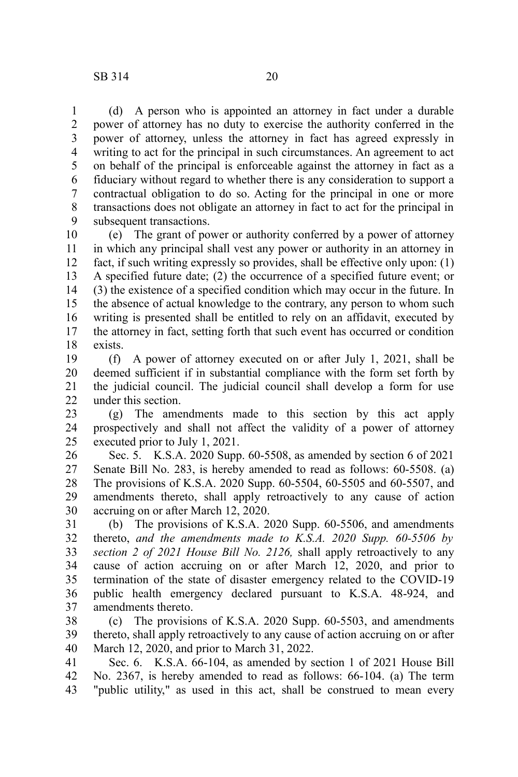(d) A person who is appointed an attorney in fact under a durable power of attorney has no duty to exercise the authority conferred in the power of attorney, unless the attorney in fact has agreed expressly in writing to act for the principal in such circumstances. An agreement to act on behalf of the principal is enforceable against the attorney in fact as a fiduciary without regard to whether there is any consideration to support a contractual obligation to do so. Acting for the principal in one or more transactions does not obligate an attorney in fact to act for the principal in subsequent transactions. 1 2 3 4 5 6 7 8 9

(e) The grant of power or authority conferred by a power of attorney in which any principal shall vest any power or authority in an attorney in fact, if such writing expressly so provides, shall be effective only upon: (1) A specified future date; (2) the occurrence of a specified future event; or (3) the existence of a specified condition which may occur in the future. In the absence of actual knowledge to the contrary, any person to whom such writing is presented shall be entitled to rely on an affidavit, executed by the attorney in fact, setting forth that such event has occurred or condition exists. 10 11 12 13 14 15 16 17 18

(f) A power of attorney executed on or after July 1, 2021, shall be deemed sufficient if in substantial compliance with the form set forth by the judicial council. The judicial council shall develop a form for use under this section. 19 20 21 22

(g) The amendments made to this section by this act apply prospectively and shall not affect the validity of a power of attorney executed prior to July 1, 2021. 23 24 25

Sec. 5. K.S.A. 2020 Supp. 60-5508, as amended by section 6 of 2021 Senate Bill No. 283, is hereby amended to read as follows: 60-5508. (a) The provisions of K.S.A. 2020 Supp. 60-5504, 60-5505 and 60-5507, and amendments thereto, shall apply retroactively to any cause of action accruing on or after March 12, 2020. 26 27 28 29 30

(b) The provisions of K.S.A. 2020 Supp. 60-5506, and amendments thereto, *and the amendments made to K.S.A. 2020 Supp. 60-5506 by section 2 of 2021 House Bill No. 2126,* shall apply retroactively to any cause of action accruing on or after March 12, 2020, and prior to termination of the state of disaster emergency related to the COVID-19 public health emergency declared pursuant to K.S.A. 48-924, and amendments thereto. 31 32 33 34 35 36 37

(c) The provisions of K.S.A. 2020 Supp. 60-5503, and amendments thereto, shall apply retroactively to any cause of action accruing on or after March 12, 2020, and prior to March 31, 2022. 38 39 40

Sec. 6. K.S.A. 66-104, as amended by section 1 of 2021 House Bill No. 2367, is hereby amended to read as follows: 66-104. (a) The term "public utility," as used in this act, shall be construed to mean every 41 42 43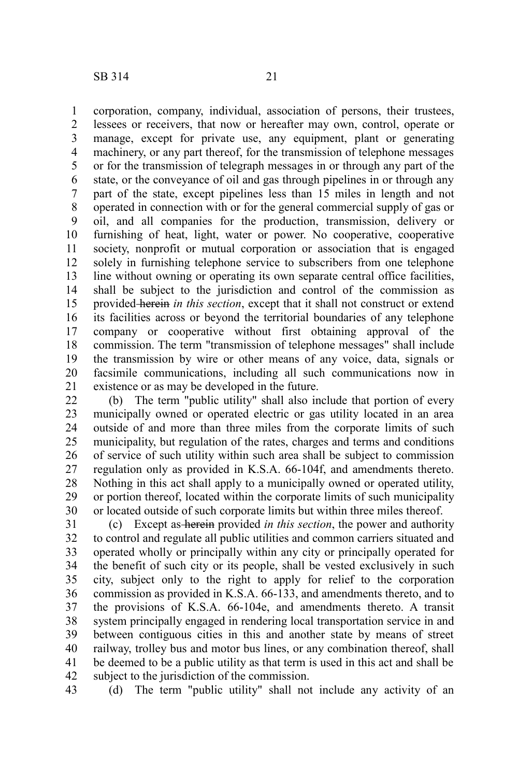corporation, company, individual, association of persons, their trustees, lessees or receivers, that now or hereafter may own, control, operate or manage, except for private use, any equipment, plant or generating machinery, or any part thereof, for the transmission of telephone messages or for the transmission of telegraph messages in or through any part of the state, or the conveyance of oil and gas through pipelines in or through any part of the state, except pipelines less than 15 miles in length and not operated in connection with or for the general commercial supply of gas or oil, and all companies for the production, transmission, delivery or furnishing of heat, light, water or power. No cooperative, cooperative society, nonprofit or mutual corporation or association that is engaged solely in furnishing telephone service to subscribers from one telephone line without owning or operating its own separate central office facilities, shall be subject to the jurisdiction and control of the commission as provided herein *in this section*, except that it shall not construct or extend its facilities across or beyond the territorial boundaries of any telephone company or cooperative without first obtaining approval of the commission. The term "transmission of telephone messages" shall include the transmission by wire or other means of any voice, data, signals or facsimile communications, including all such communications now in existence or as may be developed in the future. 1 2 3 4 5 6 7 8 9 10 11 12 13 14 15 16 17 18 19 20 21

(b) The term "public utility" shall also include that portion of every municipally owned or operated electric or gas utility located in an area outside of and more than three miles from the corporate limits of such municipality, but regulation of the rates, charges and terms and conditions of service of such utility within such area shall be subject to commission regulation only as provided in K.S.A. 66-104f, and amendments thereto. Nothing in this act shall apply to a municipally owned or operated utility, or portion thereof, located within the corporate limits of such municipality or located outside of such corporate limits but within three miles thereof. 22 23 24 25 26 27 28 29 30

(c) Except as herein provided *in this section*, the power and authority to control and regulate all public utilities and common carriers situated and operated wholly or principally within any city or principally operated for the benefit of such city or its people, shall be vested exclusively in such city, subject only to the right to apply for relief to the corporation commission as provided in K.S.A. 66-133, and amendments thereto, and to the provisions of K.S.A. 66-104e, and amendments thereto. A transit system principally engaged in rendering local transportation service in and between contiguous cities in this and another state by means of street railway, trolley bus and motor bus lines, or any combination thereof, shall be deemed to be a public utility as that term is used in this act and shall be subject to the jurisdiction of the commission. 31 32 33 34 35 36 37 38 39 40 41 42

(d) The term "public utility" shall not include any activity of an 43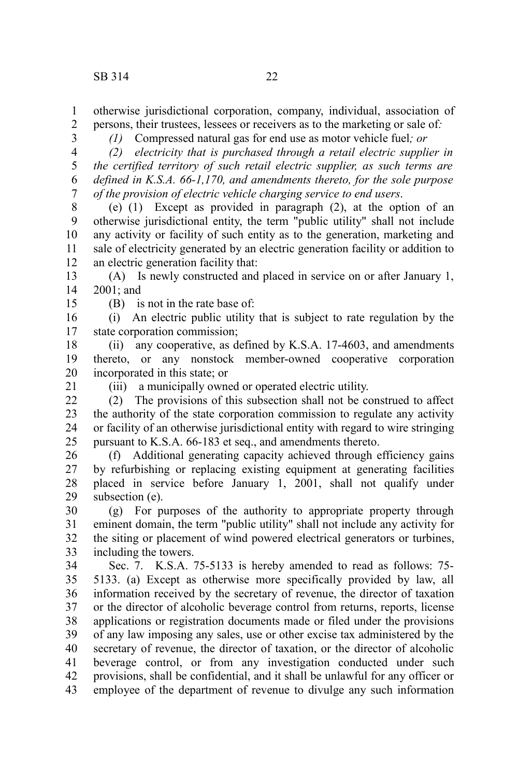otherwise jurisdictional corporation, company, individual, association of persons, their trustees, lessees or receivers as to the marketing or sale of*:* 1 2

3

*(1)* Compressed natural gas for end use as motor vehicle fuel*; or*

*(2) electricity that is purchased through a retail electric supplier in the certified territory of such retail electric supplier, as such terms are defined in K.S.A. 66-1,170, and amendments thereto, for the sole purpose of the provision of electric vehicle charging service to end users*. 4 5 6 7

(e) (1) Except as provided in paragraph (2), at the option of an otherwise jurisdictional entity, the term "public utility" shall not include any activity or facility of such entity as to the generation, marketing and sale of electricity generated by an electric generation facility or addition to an electric generation facility that: 8 9 10 11 12

(A) Is newly constructed and placed in service on or after January 1, 2001; and 13 14

15

(B) is not in the rate base of:

(i) An electric public utility that is subject to rate regulation by the state corporation commission; 16 17

(ii) any cooperative, as defined by K.S.A. 17-4603, and amendments thereto, or any nonstock member-owned cooperative corporation incorporated in this state; or 18 19 20

21

(iii) a municipally owned or operated electric utility.

(2) The provisions of this subsection shall not be construed to affect the authority of the state corporation commission to regulate any activity or facility of an otherwise jurisdictional entity with regard to wire stringing pursuant to K.S.A. 66-183 et seq., and amendments thereto. 22 23 24 25

(f) Additional generating capacity achieved through efficiency gains by refurbishing or replacing existing equipment at generating facilities placed in service before January 1, 2001, shall not qualify under subsection (e). 26 27 28 29

(g) For purposes of the authority to appropriate property through eminent domain, the term "public utility" shall not include any activity for the siting or placement of wind powered electrical generators or turbines, including the towers. 30 31 32 33

Sec. 7. K.S.A. 75-5133 is hereby amended to read as follows: 75- 5133. (a) Except as otherwise more specifically provided by law, all information received by the secretary of revenue, the director of taxation or the director of alcoholic beverage control from returns, reports, license applications or registration documents made or filed under the provisions of any law imposing any sales, use or other excise tax administered by the secretary of revenue, the director of taxation, or the director of alcoholic beverage control, or from any investigation conducted under such provisions, shall be confidential, and it shall be unlawful for any officer or employee of the department of revenue to divulge any such information 34 35 36 37 38 39 40 41 42 43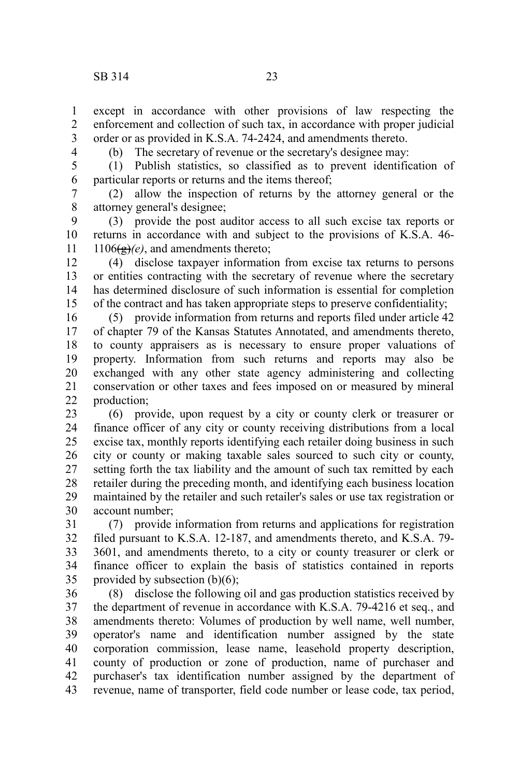except in accordance with other provisions of law respecting the enforcement and collection of such tax, in accordance with proper judicial order or as provided in K.S.A. 74-2424, and amendments thereto. 1 2 3

4

(b) The secretary of revenue or the secretary's designee may:

(1) Publish statistics, so classified as to prevent identification of particular reports or returns and the items thereof; 5 6

(2) allow the inspection of returns by the attorney general or the attorney general's designee; 7 8

(3) provide the post auditor access to all such excise tax reports or returns in accordance with and subject to the provisions of K.S.A. 46-  $1106(\frac{e}{e})$ *(e)*, and amendments thereto; 9 10 11

(4) disclose taxpayer information from excise tax returns to persons or entities contracting with the secretary of revenue where the secretary has determined disclosure of such information is essential for completion of the contract and has taken appropriate steps to preserve confidentiality; 12 13 14 15

(5) provide information from returns and reports filed under article 42 of chapter 79 of the Kansas Statutes Annotated, and amendments thereto, to county appraisers as is necessary to ensure proper valuations of property. Information from such returns and reports may also be exchanged with any other state agency administering and collecting conservation or other taxes and fees imposed on or measured by mineral production; 16 17 18 19 20 21 22

(6) provide, upon request by a city or county clerk or treasurer or finance officer of any city or county receiving distributions from a local excise tax, monthly reports identifying each retailer doing business in such city or county or making taxable sales sourced to such city or county, setting forth the tax liability and the amount of such tax remitted by each retailer during the preceding month, and identifying each business location maintained by the retailer and such retailer's sales or use tax registration or account number; 23 24 25 26 27 28 29 30

(7) provide information from returns and applications for registration filed pursuant to K.S.A. 12-187, and amendments thereto, and K.S.A. 79- 3601, and amendments thereto, to a city or county treasurer or clerk or finance officer to explain the basis of statistics contained in reports provided by subsection  $(b)(6)$ ; 31 32 33 34 35

(8) disclose the following oil and gas production statistics received by the department of revenue in accordance with K.S.A. 79-4216 et seq., and amendments thereto: Volumes of production by well name, well number, operator's name and identification number assigned by the state corporation commission, lease name, leasehold property description, county of production or zone of production, name of purchaser and purchaser's tax identification number assigned by the department of revenue, name of transporter, field code number or lease code, tax period, 36 37 38 39 40 41 42 43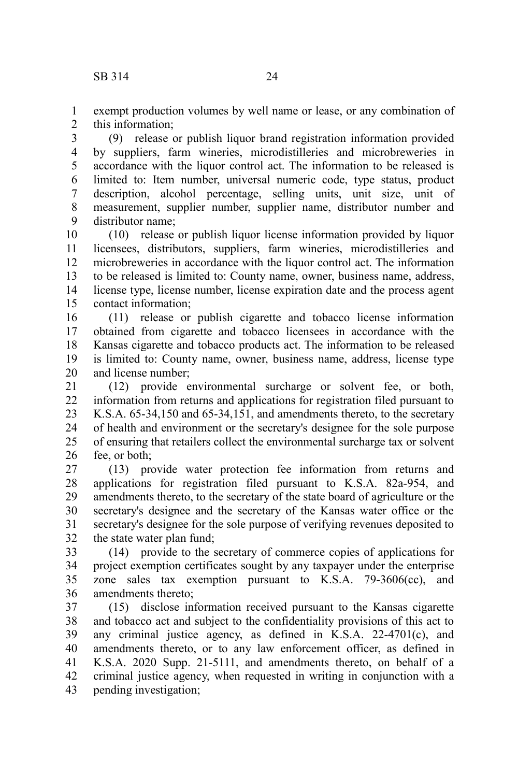exempt production volumes by well name or lease, or any combination of

this information; 1 2

(9) release or publish liquor brand registration information provided by suppliers, farm wineries, microdistilleries and microbreweries in accordance with the liquor control act. The information to be released is limited to: Item number, universal numeric code, type status, product description, alcohol percentage, selling units, unit size, unit of measurement, supplier number, supplier name, distributor number and distributor name; 3 4 5 6 7 8 9

(10) release or publish liquor license information provided by liquor licensees, distributors, suppliers, farm wineries, microdistilleries and microbreweries in accordance with the liquor control act. The information to be released is limited to: County name, owner, business name, address, license type, license number, license expiration date and the process agent contact information; 10 11 12 13 14 15

(11) release or publish cigarette and tobacco license information obtained from cigarette and tobacco licensees in accordance with the Kansas cigarette and tobacco products act. The information to be released is limited to: County name, owner, business name, address, license type and license number; 16 17 18 19 20

(12) provide environmental surcharge or solvent fee, or both, information from returns and applications for registration filed pursuant to K.S.A. 65-34,150 and 65-34,151, and amendments thereto, to the secretary of health and environment or the secretary's designee for the sole purpose of ensuring that retailers collect the environmental surcharge tax or solvent fee, or both; 21 22 23 24 25 26

(13) provide water protection fee information from returns and applications for registration filed pursuant to K.S.A. 82a-954, and amendments thereto, to the secretary of the state board of agriculture or the secretary's designee and the secretary of the Kansas water office or the secretary's designee for the sole purpose of verifying revenues deposited to the state water plan fund; 27 28 29 30 31 32

(14) provide to the secretary of commerce copies of applications for project exemption certificates sought by any taxpayer under the enterprise zone sales tax exemption pursuant to K.S.A. 79-3606(cc), and amendments thereto; 33 34 35 36

(15) disclose information received pursuant to the Kansas cigarette and tobacco act and subject to the confidentiality provisions of this act to any criminal justice agency, as defined in K.S.A. 22-4701(c), and amendments thereto, or to any law enforcement officer, as defined in K.S.A. 2020 Supp. 21-5111, and amendments thereto, on behalf of a criminal justice agency, when requested in writing in conjunction with a pending investigation; 37 38 39 40 41 42 43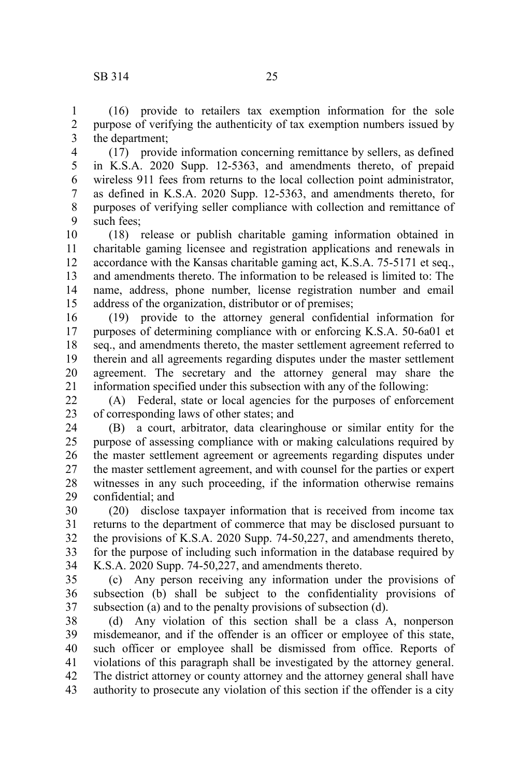(16) provide to retailers tax exemption information for the sole purpose of verifying the authenticity of tax exemption numbers issued by the department; 1 2 3

(17) provide information concerning remittance by sellers, as defined in K.S.A. 2020 Supp. 12-5363, and amendments thereto, of prepaid wireless 911 fees from returns to the local collection point administrator, as defined in K.S.A. 2020 Supp. 12-5363, and amendments thereto, for purposes of verifying seller compliance with collection and remittance of such fees; 4 5 6 7 8 9

(18) release or publish charitable gaming information obtained in charitable gaming licensee and registration applications and renewals in accordance with the Kansas charitable gaming act, K.S.A. 75-5171 et seq., and amendments thereto. The information to be released is limited to: The name, address, phone number, license registration number and email address of the organization, distributor or of premises; 10 11 12 13 14 15

(19) provide to the attorney general confidential information for purposes of determining compliance with or enforcing K.S.A. 50-6a01 et seq., and amendments thereto, the master settlement agreement referred to therein and all agreements regarding disputes under the master settlement agreement. The secretary and the attorney general may share the information specified under this subsection with any of the following: 16 17 18 19 20 21

(A) Federal, state or local agencies for the purposes of enforcement of corresponding laws of other states; and 22 23

(B) a court, arbitrator, data clearinghouse or similar entity for the purpose of assessing compliance with or making calculations required by the master settlement agreement or agreements regarding disputes under the master settlement agreement, and with counsel for the parties or expert witnesses in any such proceeding, if the information otherwise remains confidential; and 24 25 26 27 28 29

(20) disclose taxpayer information that is received from income tax returns to the department of commerce that may be disclosed pursuant to the provisions of K.S.A. 2020 Supp. 74-50,227, and amendments thereto, for the purpose of including such information in the database required by K.S.A. 2020 Supp. 74-50,227, and amendments thereto. 30 31 32 33 34

(c) Any person receiving any information under the provisions of subsection (b) shall be subject to the confidentiality provisions of subsection (a) and to the penalty provisions of subsection (d). 35 36 37

(d) Any violation of this section shall be a class A, nonperson misdemeanor, and if the offender is an officer or employee of this state, such officer or employee shall be dismissed from office. Reports of violations of this paragraph shall be investigated by the attorney general. The district attorney or county attorney and the attorney general shall have authority to prosecute any violation of this section if the offender is a city 38 39 40 41 42 43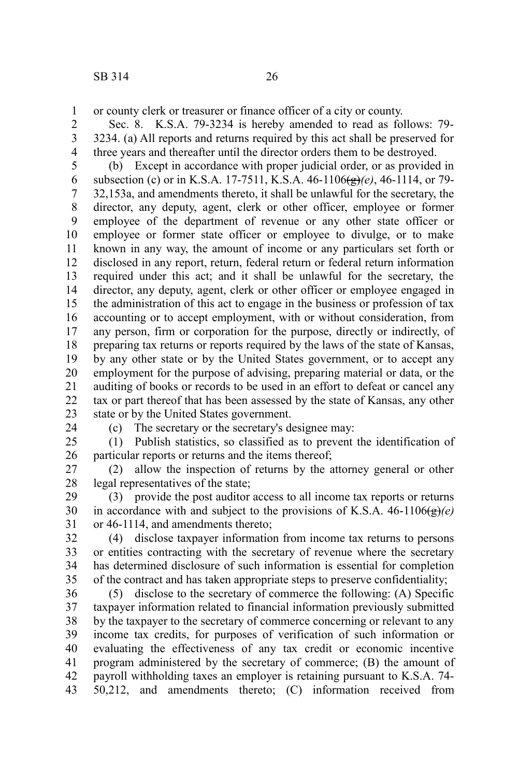or county clerk or treasurer or finance officer of a city or county. 1

Sec. 8. K.S.A. 79-3234 is hereby amended to read as follows: 79- 3234. (a) All reports and returns required by this act shall be preserved for three years and thereafter until the director orders them to be destroyed. 2 3 4

(b) Except in accordance with proper judicial order, or as provided in subsection (c) or in K.S.A. 17-7511, K.S.A. 46-1106(g)*(e)*, 46-1114, or 79- 32,153a, and amendments thereto, it shall be unlawful for the secretary, the director, any deputy, agent, clerk or other officer, employee or former employee of the department of revenue or any other state officer or employee or former state officer or employee to divulge, or to make known in any way, the amount of income or any particulars set forth or disclosed in any report, return, federal return or federal return information required under this act; and it shall be unlawful for the secretary, the director, any deputy, agent, clerk or other officer or employee engaged in the administration of this act to engage in the business or profession of tax accounting or to accept employment, with or without consideration, from any person, firm or corporation for the purpose, directly or indirectly, of preparing tax returns or reports required by the laws of the state of Kansas, by any other state or by the United States government, or to accept any employment for the purpose of advising, preparing material or data, or the auditing of books or records to be used in an effort to defeat or cancel any tax or part thereof that has been assessed by the state of Kansas, any other state or by the United States government. 5 6 7 8 9 10 11 12 13 14 15 16 17 18 19 20 21 22 23

24

(c) The secretary or the secretary's designee may:

(1) Publish statistics, so classified as to prevent the identification of particular reports or returns and the items thereof; 25 26

(2) allow the inspection of returns by the attorney general or other legal representatives of the state; 27 28

(3) provide the post auditor access to all income tax reports or returns in accordance with and subject to the provisions of K.S.A.  $46-1106\left(\frac{g}{g}\right)(e)$ or 46-1114, and amendments thereto; 29 30 31

(4) disclose taxpayer information from income tax returns to persons or entities contracting with the secretary of revenue where the secretary has determined disclosure of such information is essential for completion of the contract and has taken appropriate steps to preserve confidentiality; 32 33 34 35

(5) disclose to the secretary of commerce the following: (A) Specific taxpayer information related to financial information previously submitted by the taxpayer to the secretary of commerce concerning or relevant to any income tax credits, for purposes of verification of such information or evaluating the effectiveness of any tax credit or economic incentive program administered by the secretary of commerce; (B) the amount of payroll withholding taxes an employer is retaining pursuant to K.S.A. 74- 50,212, and amendments thereto; (C) information received from 36 37 38 39 40 41 42 43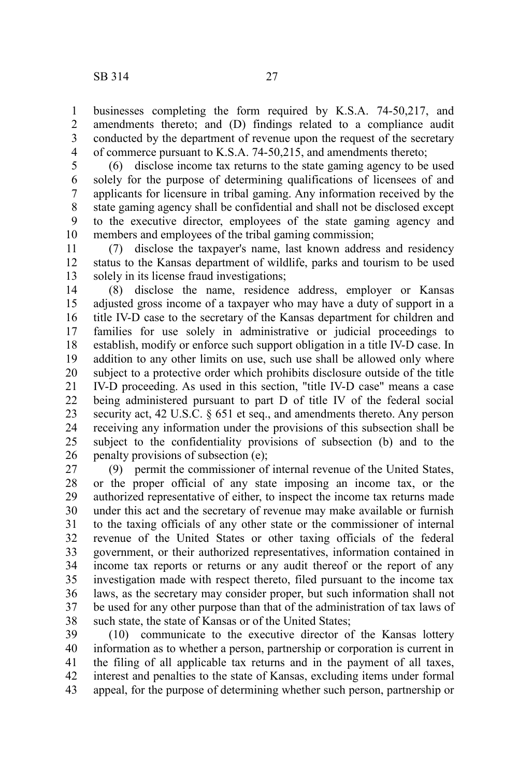businesses completing the form required by K.S.A. 74-50,217, and amendments thereto; and (D) findings related to a compliance audit conducted by the department of revenue upon the request of the secretary of commerce pursuant to K.S.A. 74-50,215, and amendments thereto; 1 2 3 4

(6) disclose income tax returns to the state gaming agency to be used solely for the purpose of determining qualifications of licensees of and applicants for licensure in tribal gaming. Any information received by the state gaming agency shall be confidential and shall not be disclosed except to the executive director, employees of the state gaming agency and members and employees of the tribal gaming commission; 5 6 7 8 9 10

(7) disclose the taxpayer's name, last known address and residency status to the Kansas department of wildlife, parks and tourism to be used solely in its license fraud investigations; 11 12 13

(8) disclose the name, residence address, employer or Kansas adjusted gross income of a taxpayer who may have a duty of support in a title IV-D case to the secretary of the Kansas department for children and families for use solely in administrative or judicial proceedings to establish, modify or enforce such support obligation in a title IV-D case. In addition to any other limits on use, such use shall be allowed only where subject to a protective order which prohibits disclosure outside of the title IV-D proceeding. As used in this section, "title IV-D case" means a case being administered pursuant to part D of title IV of the federal social security act, 42 U.S.C. § 651 et seq., and amendments thereto. Any person receiving any information under the provisions of this subsection shall be subject to the confidentiality provisions of subsection (b) and to the penalty provisions of subsection (e); 14 15 16 17 18 19 20 21 22 23 24 25 26

(9) permit the commissioner of internal revenue of the United States, or the proper official of any state imposing an income tax, or the authorized representative of either, to inspect the income tax returns made under this act and the secretary of revenue may make available or furnish to the taxing officials of any other state or the commissioner of internal revenue of the United States or other taxing officials of the federal government, or their authorized representatives, information contained in income tax reports or returns or any audit thereof or the report of any investigation made with respect thereto, filed pursuant to the income tax laws, as the secretary may consider proper, but such information shall not be used for any other purpose than that of the administration of tax laws of such state, the state of Kansas or of the United States; 27 28 29 30 31 32 33 34 35 36 37 38

(10) communicate to the executive director of the Kansas lottery information as to whether a person, partnership or corporation is current in the filing of all applicable tax returns and in the payment of all taxes, interest and penalties to the state of Kansas, excluding items under formal appeal, for the purpose of determining whether such person, partnership or 39 40 41 42 43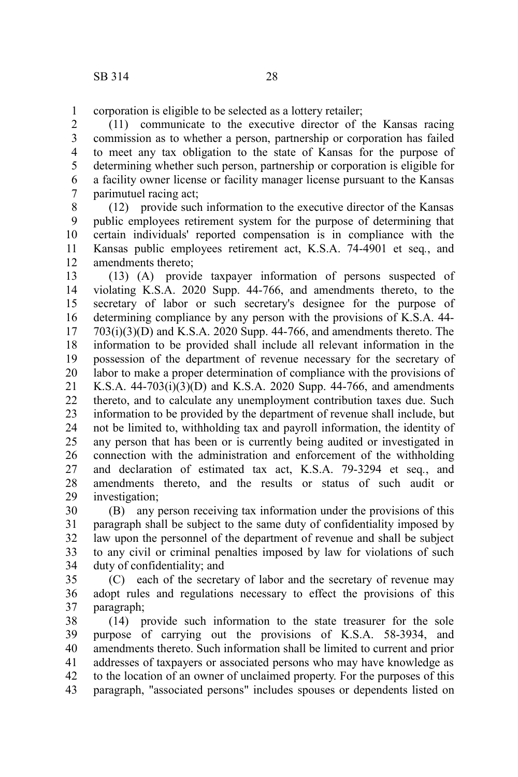corporation is eligible to be selected as a lottery retailer; 1

(11) communicate to the executive director of the Kansas racing commission as to whether a person, partnership or corporation has failed to meet any tax obligation to the state of Kansas for the purpose of determining whether such person, partnership or corporation is eligible for a facility owner license or facility manager license pursuant to the Kansas parimutuel racing act; 2 3 4 5 6 7

(12) provide such information to the executive director of the Kansas public employees retirement system for the purpose of determining that certain individuals' reported compensation is in compliance with the Kansas public employees retirement act, K.S.A. 74-4901 et seq*.*, and amendments thereto; 8 9 10 11 12

(13) (A) provide taxpayer information of persons suspected of violating K.S.A. 2020 Supp. 44-766, and amendments thereto, to the secretary of labor or such secretary's designee for the purpose of determining compliance by any person with the provisions of K.S.A. 44-  $703(i)(3)(D)$  and K.S.A. 2020 Supp. 44-766, and amendments thereto. The information to be provided shall include all relevant information in the possession of the department of revenue necessary for the secretary of labor to make a proper determination of compliance with the provisions of K.S.A. 44-703(i)(3)(D) and K.S.A. 2020 Supp. 44-766, and amendments thereto, and to calculate any unemployment contribution taxes due. Such information to be provided by the department of revenue shall include, but not be limited to, withholding tax and payroll information, the identity of any person that has been or is currently being audited or investigated in connection with the administration and enforcement of the withholding and declaration of estimated tax act, K.S.A. 79-3294 et seq*.*, and amendments thereto, and the results or status of such audit or investigation; 13 14 15 16 17 18 19 20 21 22 23 24 25 26 27 28 29

(B) any person receiving tax information under the provisions of this paragraph shall be subject to the same duty of confidentiality imposed by law upon the personnel of the department of revenue and shall be subject to any civil or criminal penalties imposed by law for violations of such duty of confidentiality; and 30 31 32 33 34

(C) each of the secretary of labor and the secretary of revenue may adopt rules and regulations necessary to effect the provisions of this paragraph; 35 36 37

(14) provide such information to the state treasurer for the sole purpose of carrying out the provisions of K.S.A. 58-3934, and amendments thereto. Such information shall be limited to current and prior addresses of taxpayers or associated persons who may have knowledge as to the location of an owner of unclaimed property. For the purposes of this paragraph, "associated persons" includes spouses or dependents listed on 38 39 40 41 42 43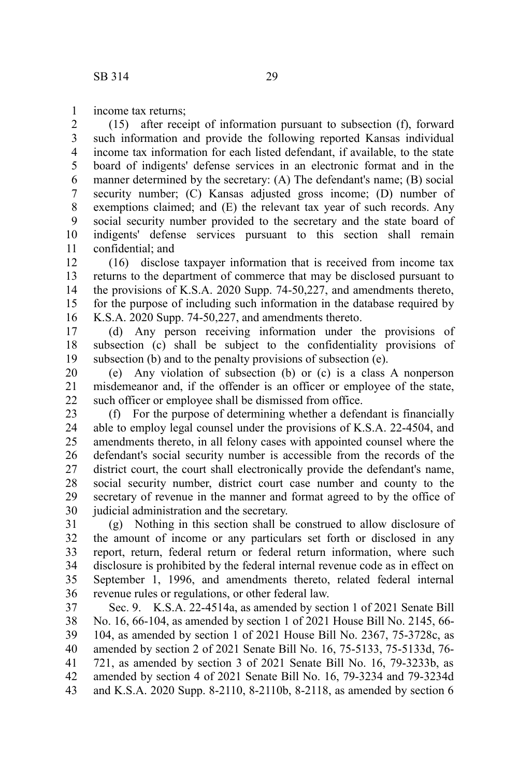income tax returns; 1

(15) after receipt of information pursuant to subsection (f), forward such information and provide the following reported Kansas individual income tax information for each listed defendant, if available, to the state board of indigents' defense services in an electronic format and in the manner determined by the secretary: (A) The defendant's name; (B) social security number; (C) Kansas adjusted gross income; (D) number of exemptions claimed; and (E) the relevant tax year of such records. Any social security number provided to the secretary and the state board of indigents' defense services pursuant to this section shall remain confidential; and 2 3 4 5 6 7 8 9 10 11

(16) disclose taxpayer information that is received from income tax returns to the department of commerce that may be disclosed pursuant to the provisions of K.S.A. 2020 Supp. 74-50,227, and amendments thereto, for the purpose of including such information in the database required by K.S.A. 2020 Supp. 74-50,227, and amendments thereto. 12 13 14 15 16

(d) Any person receiving information under the provisions of subsection (c) shall be subject to the confidentiality provisions of subsection (b) and to the penalty provisions of subsection (e). 17 18 19

(e) Any violation of subsection (b) or (c) is a class A nonperson misdemeanor and, if the offender is an officer or employee of the state, such officer or employee shall be dismissed from office. 20 21 22

(f) For the purpose of determining whether a defendant is financially able to employ legal counsel under the provisions of K.S.A. 22-4504, and amendments thereto, in all felony cases with appointed counsel where the defendant's social security number is accessible from the records of the district court, the court shall electronically provide the defendant's name, social security number, district court case number and county to the secretary of revenue in the manner and format agreed to by the office of judicial administration and the secretary. 23 24 25 26 27 28 29 30

(g) Nothing in this section shall be construed to allow disclosure of the amount of income or any particulars set forth or disclosed in any report, return, federal return or federal return information, where such disclosure is prohibited by the federal internal revenue code as in effect on September 1, 1996, and amendments thereto, related federal internal revenue rules or regulations, or other federal law. 31 32 33 34 35 36

Sec. 9. K.S.A. 22-4514a, as amended by section 1 of 2021 Senate Bill No. 16, 66-104, as amended by section 1 of 2021 House Bill No. 2145, 66- 104, as amended by section 1 of 2021 House Bill No. 2367, 75-3728c, as amended by section 2 of 2021 Senate Bill No. 16, 75-5133, 75-5133d, 76- 721, as amended by section 3 of 2021 Senate Bill No. 16, 79-3233b, as amended by section 4 of 2021 Senate Bill No. 16, 79-3234 and 79-3234d and K.S.A. 2020 Supp. 8-2110, 8-2110b, 8-2118, as amended by section 6 37 38 39 40 41 42 43